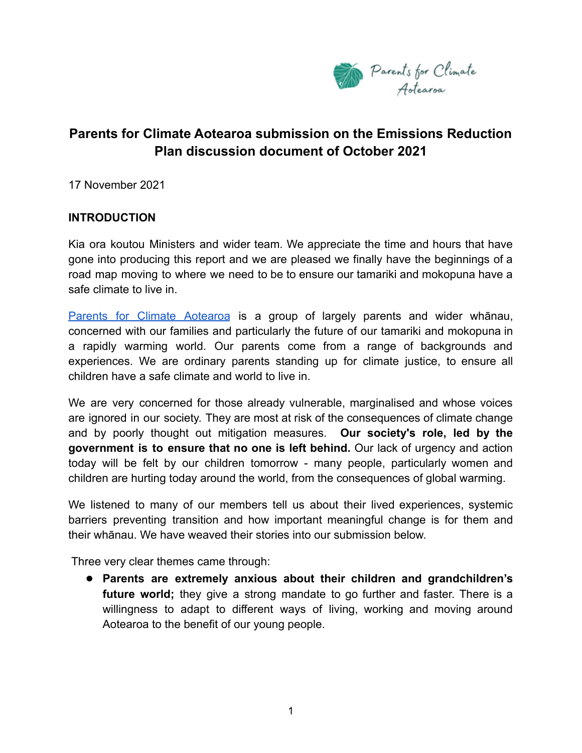

# **Parents for Climate Aotearoa submission on the Emissions Reduction Plan discussion document of October 2021**

17 November 2021

#### **INTRODUCTION**

Kia ora koutou Ministers and wider team. We appreciate the time and hours that have gone into producing this report and we are pleased we finally have the beginnings of a road map moving to where we need to be to ensure our tamariki and mokopuna have a safe climate to live in.

Parents for Climate [Aotearoa](https://www.parentsforclimatenz.org/) is a group of largely parents and wider whānau, concerned with our families and particularly the future of our tamariki and mokopuna in a rapidly warming world. Our parents come from a range of backgrounds and experiences. We are ordinary parents standing up for climate justice, to ensure all children have a safe climate and world to live in.

We are very concerned for those already vulnerable, marginalised and whose voices are ignored in our society. They are most at risk of the consequences of climate change and by poorly thought out mitigation measures. **Our society's role, led by the government is to ensure that no one is left behind.** Our lack of urgency and action today will be felt by our children tomorrow - many people, particularly women and children are hurting today around the world, from the consequences of global warming.

We listened to many of our members tell us about their lived experiences, systemic barriers preventing transition and how important meaningful change is for them and their whānau. We have weaved their stories into our submission below.

Three very clear themes came through:

● **Parents are extremely anxious about their children and grandchildren's future world;** they give a strong mandate to go further and faster. There is a willingness to adapt to different ways of living, working and moving around Aotearoa to the benefit of our young people.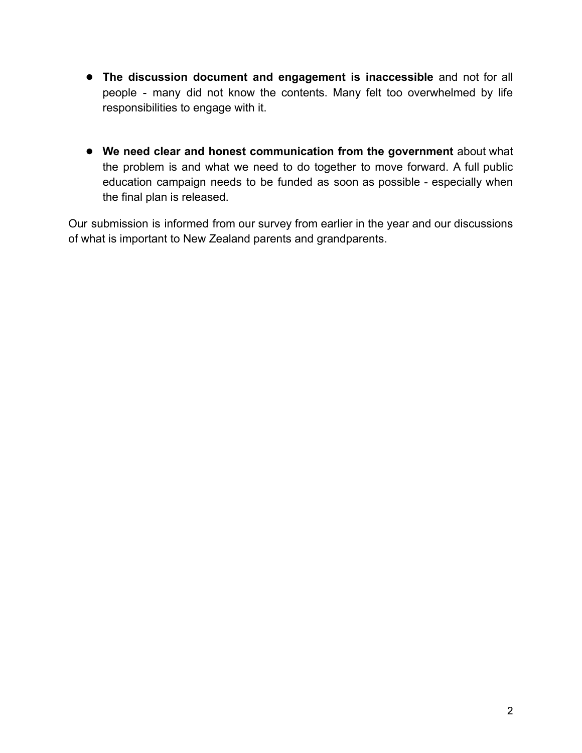- **The discussion document and engagement is inaccessible** and not for all people - many did not know the contents. Many felt too overwhelmed by life responsibilities to engage with it.
- **We need clear and honest communication from the government** about what the problem is and what we need to do together to move forward. A full public education campaign needs to be funded as soon as possible - especially when the final plan is released.

Our submission is informed from our survey from earlier in the year and our discussions of what is important to New Zealand parents and grandparents.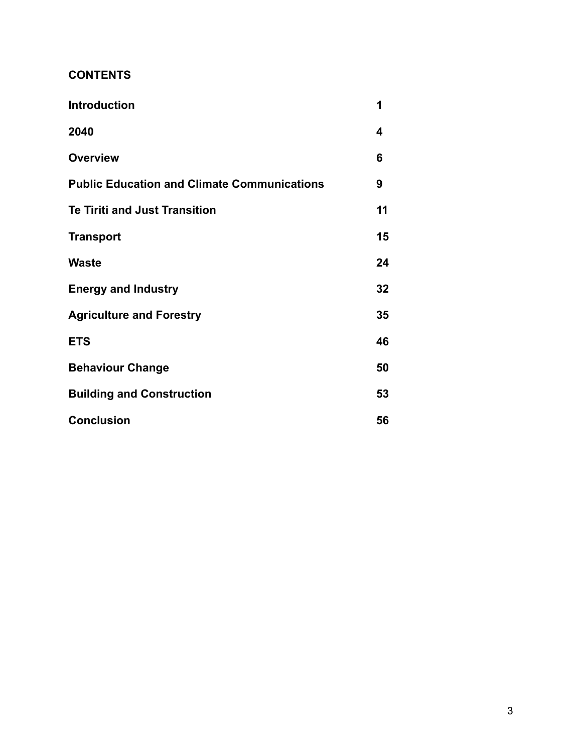### **CONTENTS**

| <b>Introduction</b>                                | 1  |
|----------------------------------------------------|----|
| 2040                                               | 4  |
| <b>Overview</b>                                    | 6  |
| <b>Public Education and Climate Communications</b> | 9  |
| <b>Te Tiriti and Just Transition</b>               | 11 |
| <b>Transport</b>                                   | 15 |
| Waste                                              | 24 |
| <b>Energy and Industry</b>                         | 32 |
| <b>Agriculture and Forestry</b>                    | 35 |
| <b>ETS</b>                                         | 46 |
| <b>Behaviour Change</b>                            | 50 |
| <b>Building and Construction</b>                   | 53 |
| <b>Conclusion</b>                                  | 56 |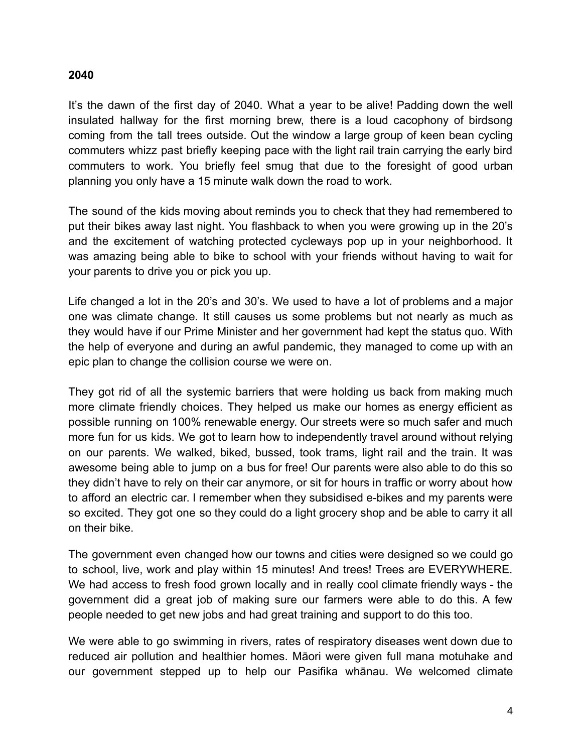#### **2040**

It's the dawn of the first day of 2040. What a year to be alive! Padding down the well insulated hallway for the first morning brew, there is a loud cacophony of birdsong coming from the tall trees outside. Out the window a large group of keen bean cycling commuters whizz past briefly keeping pace with the light rail train carrying the early bird commuters to work. You briefly feel smug that due to the foresight of good urban planning you only have a 15 minute walk down the road to work.

The sound of the kids moving about reminds you to check that they had remembered to put their bikes away last night. You flashback to when you were growing up in the 20's and the excitement of watching protected cycleways pop up in your neighborhood. It was amazing being able to bike to school with your friends without having to wait for your parents to drive you or pick you up.

Life changed a lot in the 20's and 30's. We used to have a lot of problems and a major one was climate change. It still causes us some problems but not nearly as much as they would have if our Prime Minister and her government had kept the status quo. With the help of everyone and during an awful pandemic, they managed to come up with an epic plan to change the collision course we were on.

They got rid of all the systemic barriers that were holding us back from making much more climate friendly choices. They helped us make our homes as energy efficient as possible running on 100% renewable energy. Our streets were so much safer and much more fun for us kids. We got to learn how to independently travel around without relying on our parents. We walked, biked, bussed, took trams, light rail and the train. It was awesome being able to jump on a bus for free! Our parents were also able to do this so they didn't have to rely on their car anymore, or sit for hours in traffic or worry about how to afford an electric car. I remember when they subsidised e-bikes and my parents were so excited. They got one so they could do a light grocery shop and be able to carry it all on their bike.

The government even changed how our towns and cities were designed so we could go to school, live, work and play within 15 minutes! And trees! Trees are EVERYWHERE. We had access to fresh food grown locally and in really cool climate friendly ways - the government did a great job of making sure our farmers were able to do this. A few people needed to get new jobs and had great training and support to do this too.

We were able to go swimming in rivers, rates of respiratory diseases went down due to reduced air pollution and healthier homes. Māori were given full mana motuhake and our government stepped up to help our Pasifika whānau. We welcomed climate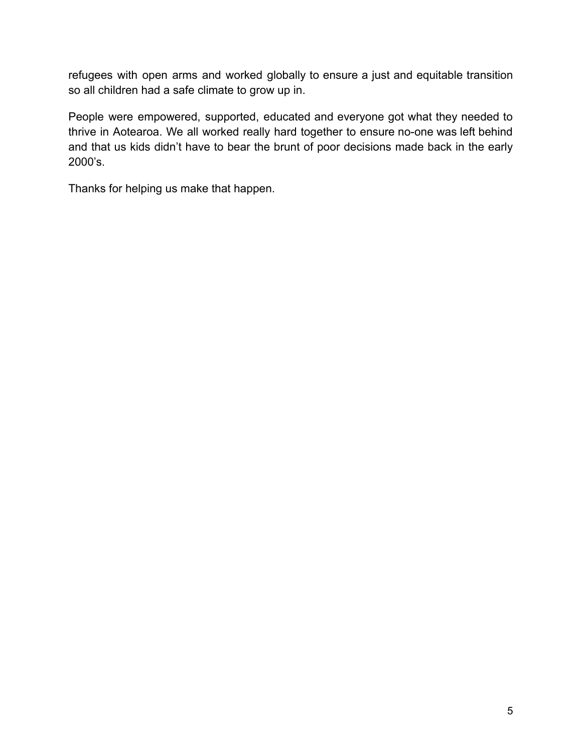refugees with open arms and worked globally to ensure a just and equitable transition so all children had a safe climate to grow up in.

People were empowered, supported, educated and everyone got what they needed to thrive in Aotearoa. We all worked really hard together to ensure no-one was left behind and that us kids didn't have to bear the brunt of poor decisions made back in the early 2000's.

Thanks for helping us make that happen.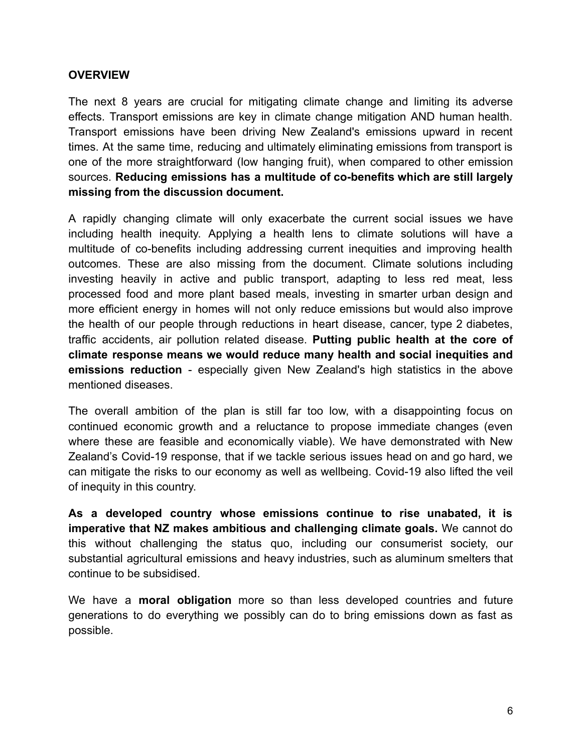#### **OVERVIEW**

The next 8 years are crucial for mitigating climate change and limiting its adverse effects. Transport emissions are key in climate change mitigation AND human health. Transport emissions have been driving New Zealand's emissions upward in recent times. At the same time, reducing and ultimately eliminating emissions from transport is one of the more straightforward (low hanging fruit), when compared to other emission sources. **Reducing emissions has a multitude of co-benefits which are still largely missing from the discussion document.**

A rapidly changing climate will only exacerbate the current social issues we have including health inequity. Applying a health lens to climate solutions will have a multitude of co-benefits including addressing current inequities and improving health outcomes. These are also missing from the document. Climate solutions including investing heavily in active and public transport, adapting to less red meat, less processed food and more plant based meals, investing in smarter urban design and more efficient energy in homes will not only reduce emissions but would also improve the health of our people through reductions in heart disease, cancer, type 2 diabetes, traffic accidents, air pollution related disease. **Putting public health at the core of climate response means we would reduce many health and social inequities and emissions reduction** - especially given New Zealand's high statistics in the above mentioned diseases.

The overall ambition of the plan is still far too low, with a disappointing focus on continued economic growth and a reluctance to propose immediate changes (even where these are feasible and economically viable). We have demonstrated with New Zealand's Covid-19 response, that if we tackle serious issues head on and go hard, we can mitigate the risks to our economy as well as wellbeing. Covid-19 also lifted the veil of inequity in this country.

**As a developed country whose emissions continue to rise unabated, it is imperative that NZ makes ambitious and challenging climate goals.** We cannot do this without challenging the status quo, including our consumerist society, our substantial agricultural emissions and heavy industries, such as aluminum smelters that continue to be subsidised.

We have a **moral obligation** more so than less developed countries and future generations to do everything we possibly can do to bring emissions down as fast as possible.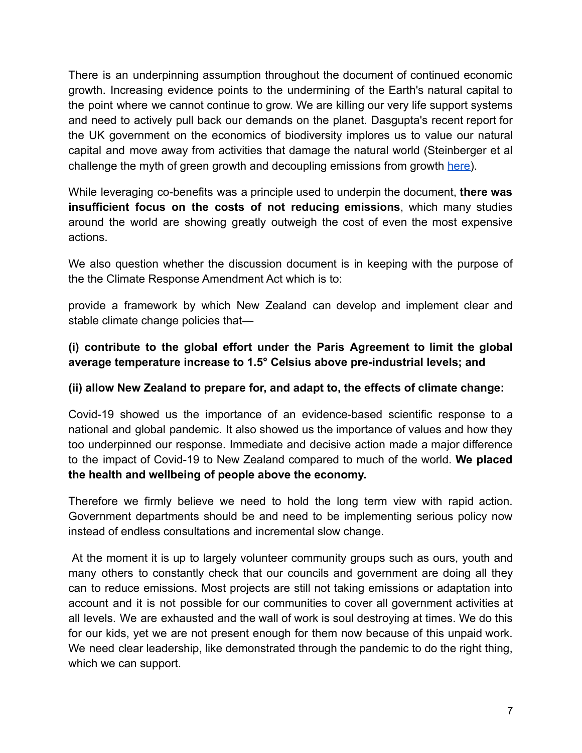There is an underpinning assumption throughout the document of continued economic growth. Increasing evidence points to the undermining of the Earth's natural capital to the point where we cannot continue to grow. We are killing our very life support systems and need to actively pull back our demands on the planet. Dasgupta's recent report for the UK government on the economics of biodiversity implores us to value our natural capital and move away from activities that damage the natural world (Steinberger et al challenge the myth of green growth and decoupling emissions from growth [here\)](https://www.nature.com/articles/s41467-020-16941-y).

While leveraging co-benefits was a principle used to underpin the document, **there was insufficient focus on the costs of not reducing emissions**, which many studies around the world are showing greatly outweigh the cost of even the most expensive actions.

We also question whether the discussion document is in keeping with the purpose of the the Climate Response Amendment Act which is to:

provide a framework by which New Zealand can develop and implement clear and stable climate change policies that—

## **(i) contribute to the global effort under the Paris Agreement to limit the global average temperature increase to 1.5° Celsius above pre-industrial levels; and**

#### **(ii) allow New Zealand to prepare for, and adapt to, the effects of climate change:**

Covid-19 showed us the importance of an evidence-based scientific response to a national and global pandemic. It also showed us the importance of values and how they too underpinned our response. Immediate and decisive action made a major difference to the impact of Covid-19 to New Zealand compared to much of the world. **We placed the health and wellbeing of people above the economy.**

Therefore we firmly believe we need to hold the long term view with rapid action. Government departments should be and need to be implementing serious policy now instead of endless consultations and incremental slow change.

At the moment it is up to largely volunteer community groups such as ours, youth and many others to constantly check that our councils and government are doing all they can to reduce emissions. Most projects are still not taking emissions or adaptation into account and it is not possible for our communities to cover all government activities at all levels. We are exhausted and the wall of work is soul destroying at times. We do this for our kids, yet we are not present enough for them now because of this unpaid work. We need clear leadership, like demonstrated through the pandemic to do the right thing, which we can support.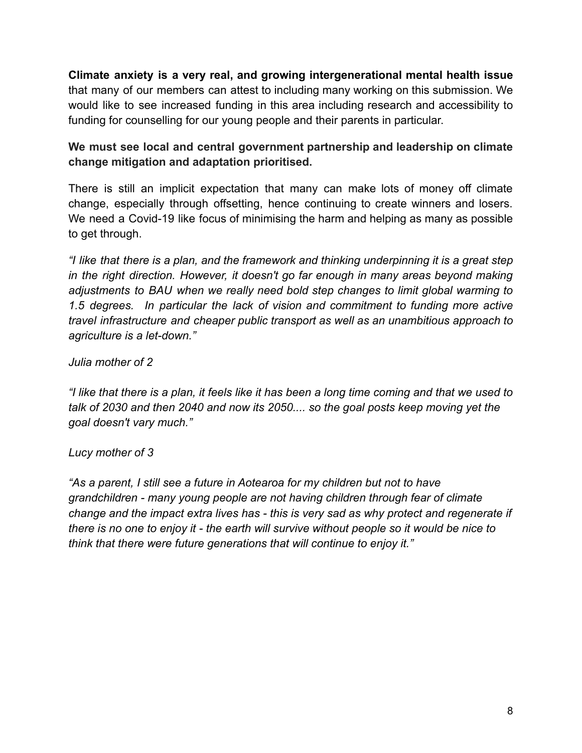**Climate anxiety is a very real, and growing intergenerational mental health issue** that many of our members can attest to including many working on this submission. We would like to see increased funding in this area including research and accessibility to funding for counselling for our young people and their parents in particular.

### **We must see local and central government partnership and leadership on climate change mitigation and adaptation prioritised.**

There is still an implicit expectation that many can make lots of money off climate change, especially through offsetting, hence continuing to create winners and losers. We need a Covid-19 like focus of minimising the harm and helping as many as possible to get through.

*"I like that there is a plan, and the framework and thinking underpinning it is a great step in the right direction. However, it doesn't go far enough in many areas beyond making adjustments to BAU when we really need bold step changes to limit global warming to 1.5 degrees. In particular the lack of vision and commitment to funding more active travel infrastructure and cheaper public transport as well as an unambitious approach to agriculture is a let-down."*

#### *Julia mother of 2*

*"I like that there is a plan, it feels like it has been a long time coming and that we used to talk of 2030 and then 2040 and now its 2050.... so the goal posts keep moving yet the goal doesn't vary much."*

### *Lucy mother of 3*

*"As a parent, I still see a future in Aotearoa for my children but not to have grandchildren - many young people are not having children through fear of climate change and the impact extra lives has - this is very sad as why protect and regenerate if there is no one to enjoy it - the earth will survive without people so it would be nice to think that there were future generations that will continue to enjoy it."*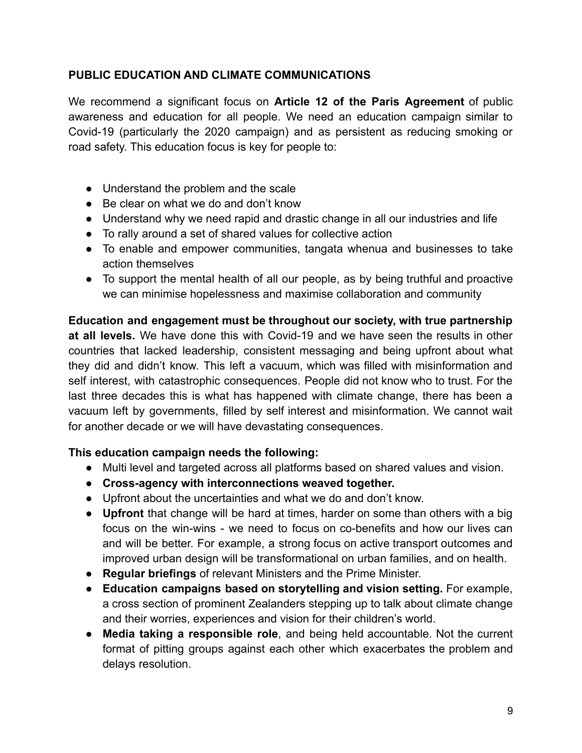### **PUBLIC EDUCATION AND CLIMATE COMMUNICATIONS**

We recommend a significant focus on **Article 12 of the Paris Agreement** of public awareness and education for all people. We need an education campaign similar to Covid-19 (particularly the 2020 campaign) and as persistent as reducing smoking or road safety. This education focus is key for people to:

- Understand the problem and the scale
- Be clear on what we do and don't know
- Understand why we need rapid and drastic change in all our industries and life
- To rally around a set of shared values for collective action
- To enable and empower communities, tangata whenua and businesses to take action themselves
- To support the mental health of all our people, as by being truthful and proactive we can minimise hopelessness and maximise collaboration and community

**Education and engagement must be throughout our society, with true partnership at all levels.** We have done this with Covid-19 and we have seen the results in other countries that lacked leadership, consistent messaging and being upfront about what they did and didn't know. This left a vacuum, which was filled with misinformation and self interest, with catastrophic consequences. People did not know who to trust. For the last three decades this is what has happened with climate change, there has been a vacuum left by governments, filled by self interest and misinformation. We cannot wait for another decade or we will have devastating consequences.

#### **This education campaign needs the following:**

- Multi level and targeted across all platforms based on shared values and vision.
- **● Cross-agency with interconnections weaved together.**
- Upfront about the uncertainties and what we do and don't know.
- **Upfront** that change will be hard at times, harder on some than others with a big focus on the win-wins - we need to focus on co-benefits and how our lives can and will be better. For example, a strong focus on active transport outcomes and improved urban design will be transformational on urban families, and on health.
- **Regular briefings** of relevant Ministers and the Prime Minister.
- **Education campaigns based on storytelling and vision setting.** For example, a cross section of prominent Zealanders stepping up to talk about climate change and their worries, experiences and vision for their children's world.
- **Media taking a responsible role**, and being held accountable. Not the current format of pitting groups against each other which exacerbates the problem and delays resolution.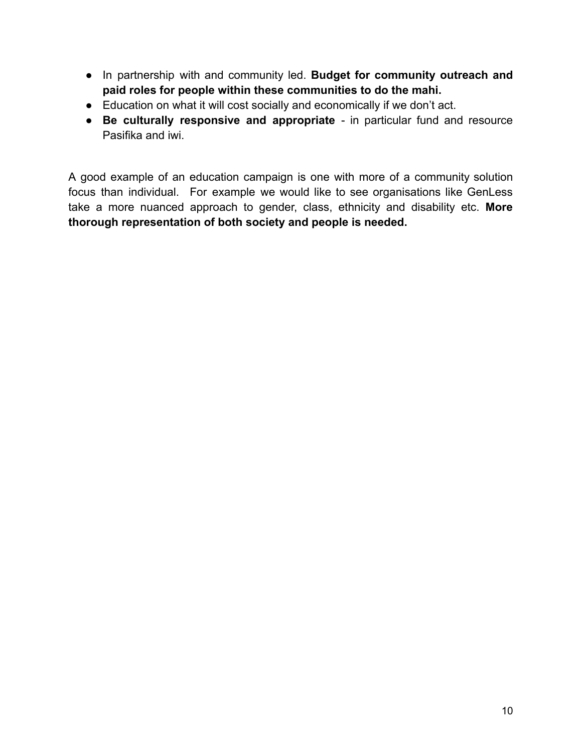- In partnership with and community led. **Budget for community outreach and paid roles for people within these communities to do the mahi.**
- Education on what it will cost socially and economically if we don't act.
- **Be culturally responsive and appropriate** in particular fund and resource Pasifika and iwi.

A good example of an education campaign is one [w](https://genless.govt.nz/)ith more of a community solution focus than individual. For example we would like to see organisations like GenLess take a more nuanced approach to gender, class, ethnicity and disability etc. **More thorough representation of both society and people is needed.**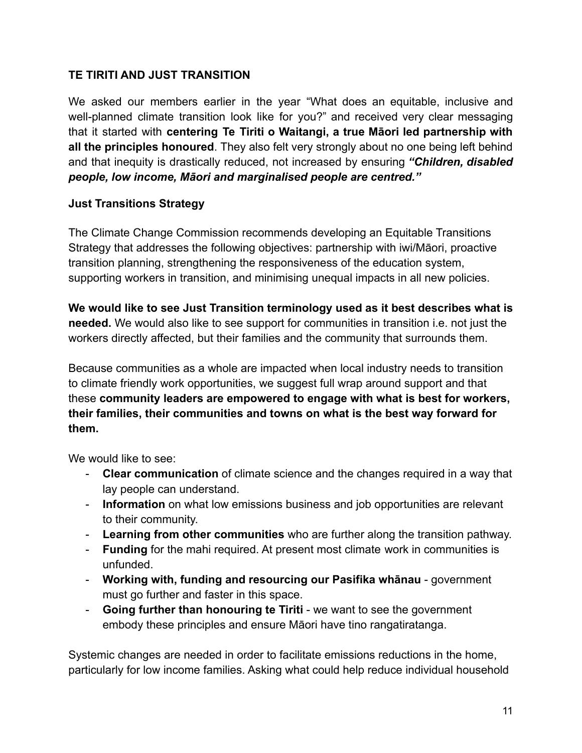### **TE TIRITI AND JUST TRANSITION**

We asked our members earlier in the year "What does an equitable, inclusive and well-planned climate transition look like for you?" and received very clear messaging that it started with **centering Te Tiriti o Waitangi, a true Māori led partnership with all the principles honoured**. They also felt very strongly about no one being left behind and that inequity is drastically reduced, not increased by ensuring *"Children, disabled people, low income, Māori and marginalised people are centred."*

#### **Just Transitions Strategy**

The Climate Change Commission recommends developing an Equitable Transitions Strategy that addresses the following objectives: partnership with iwi/Māori, proactive transition planning, strengthening the responsiveness of the education system, supporting workers in transition, and minimising unequal impacts in all new policies.

**We would like to see Just Transition terminology used as it best describes what is needed.** We would also like to see support for communities in transition i.e. not just the workers directly affected, but their families and the community that surrounds them.

Because communities as a whole are impacted when local industry needs to transition to climate friendly work opportunities, we suggest full wrap around support and that these **community leaders are empowered to engage with what is best for workers, their families, their communities and towns on what is the best way forward for them.**

We would like to see:

- **Clear communication** of climate science and the changes required in a way that lay people can understand.
- **Information** on what low emissions business and job opportunities are relevant to their community.
- **Learning from other communities** who are further along the transition pathway.
- **Funding** for the mahi required. At present most climate work in communities is unfunded.
- **Working with, funding and resourcing our Pasifika whānau** government must go further and faster in this space.
- **Going further than honouring te Tiriti** we want to see the government embody these principles and ensure Māori have tino rangatiratanga.

Systemic changes are needed in order to facilitate emissions reductions in the home, particularly for low income families. Asking what could help reduce individual household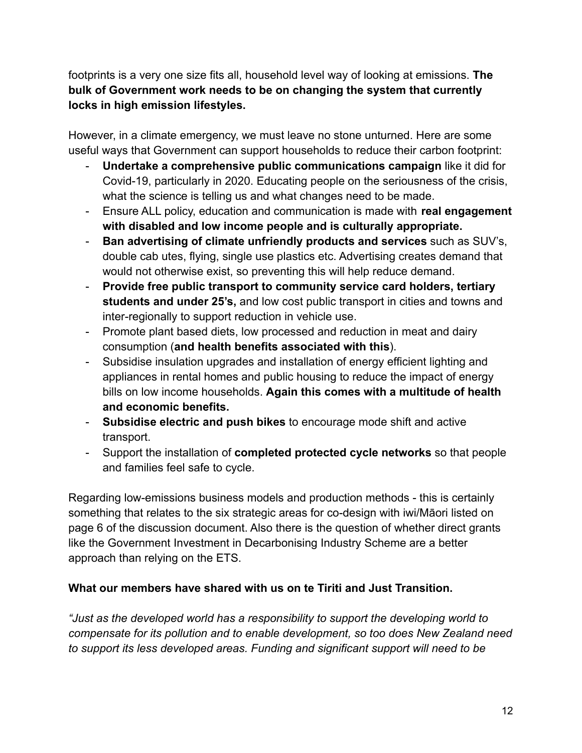footprints is a very one size fits all, household level way of looking at emissions. **The bulk of Government work needs to be on changing the system that currently locks in high emission lifestyles.**

However, in a climate emergency, we must leave no stone unturned. Here are some useful ways that Government can support households to reduce their carbon footprint:

- **Undertake a comprehensive public communications campaign** like it did for Covid-19, particularly in 2020. Educating people on the seriousness of the crisis, what the science is telling us and what changes need to be made.
- Ensure ALL policy, education and communication is made with **real engagement with disabled and low income people and is culturally appropriate.**
- **Ban advertising of climate unfriendly products and services** such as SUV's, double cab utes, flying, single use plastics etc. Advertising creates demand that would not otherwise exist, so preventing this will help reduce demand.
- **Provide free public transport to community service card holders, tertiary students and under 25's,** and low cost public transport in cities and towns and inter-regionally to support reduction in vehicle use.
- Promote plant based diets, low processed and reduction in meat and dairy consumption (**and health benefits associated with this**).
- Subsidise insulation upgrades and installation of energy efficient lighting and appliances in rental homes and public housing to reduce the impact of energy bills on low income households. **Again this comes with a multitude of health and economic benefits.**
- **Subsidise electric and push bikes** to encourage mode shift and active transport.
- Support the installation of **completed protected cycle networks** so that people and families feel safe to cycle.

Regarding low-emissions business models and production methods - this is certainly something that relates to the six strategic areas for co-design with iwi/Māori listed on page 6 of the discussion document. Also there is the question of whether direct grants like the Government Investment in Decarbonising Industry Scheme are a better approach than relying on the ETS.

### **What our members have shared with us on te Tiriti and Just Transition.**

*"Just as the developed world has a responsibility to support the developing world to compensate for its pollution and to enable development, so too does New Zealand need to support its less developed areas. Funding and significant support will need to be*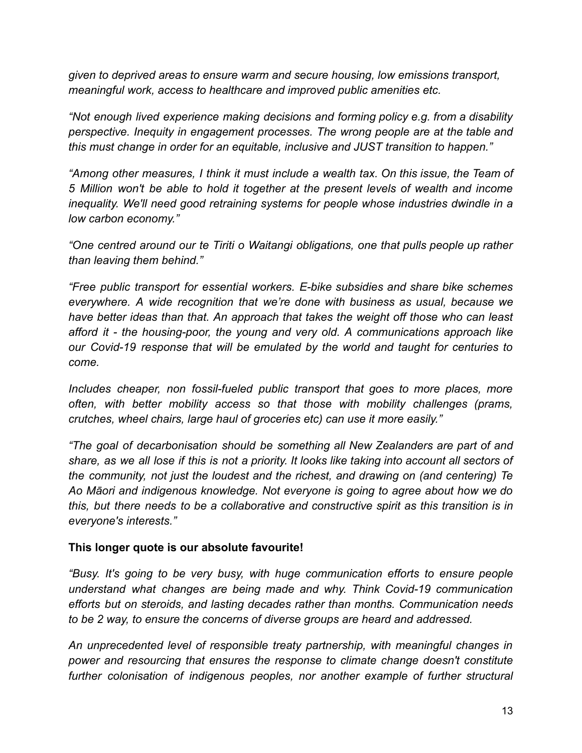*given to deprived areas to ensure warm and secure housing, low emissions transport, meaningful work, access to healthcare and improved public amenities etc.*

*"Not enough lived experience making decisions and forming policy e.g. from a disability perspective. Inequity in engagement processes. The wrong people are at the table and this must change in order for an equitable, inclusive and JUST transition to happen."*

*"Among other measures, I think it must include a wealth tax. On this issue, the Team of 5 Million won't be able to hold it together at the present levels of wealth and income inequality. We'll need good retraining systems for people whose industries dwindle in a low carbon economy."*

*"One centred around our te Tiriti o Waitangi obligations, one that pulls people up rather than leaving them behind."*

*"Free public transport for essential workers. E-bike subsidies and share bike schemes everywhere. A wide recognition that we're done with business as usual, because we have better ideas than that. An approach that takes the weight off those who can least afford it - the housing-poor, the young and very old. A communications approach like our Covid-19 response that will be emulated by the world and taught for centuries to come.*

*Includes cheaper, non fossil-fueled public transport that goes to more places, more often, with better mobility access so that those with mobility challenges (prams, crutches, wheel chairs, large haul of groceries etc) can use it more easily."*

*"The goal of decarbonisation should be something all New Zealanders are part of and* share, as we all lose if this is not a priority. It looks like taking into account all sectors of *the community, not just the loudest and the richest, and drawing on (and centering) Te Ao Māori and indigenous knowledge. Not everyone is going to agree about how we do this, but there needs to be a collaborative and constructive spirit as this transition is in everyone's interests."*

#### **This longer quote is our absolute favourite!**

*"Busy. It's going to be very busy, with huge communication efforts to ensure people understand what changes are being made and why. Think Covid-19 communication efforts but on steroids, and lasting decades rather than months. Communication needs to be 2 way, to ensure the concerns of diverse groups are heard and addressed.*

*An unprecedented level of responsible treaty partnership, with meaningful changes in power and resourcing that ensures the response to climate change doesn't constitute further colonisation of indigenous peoples, nor another example of further structural*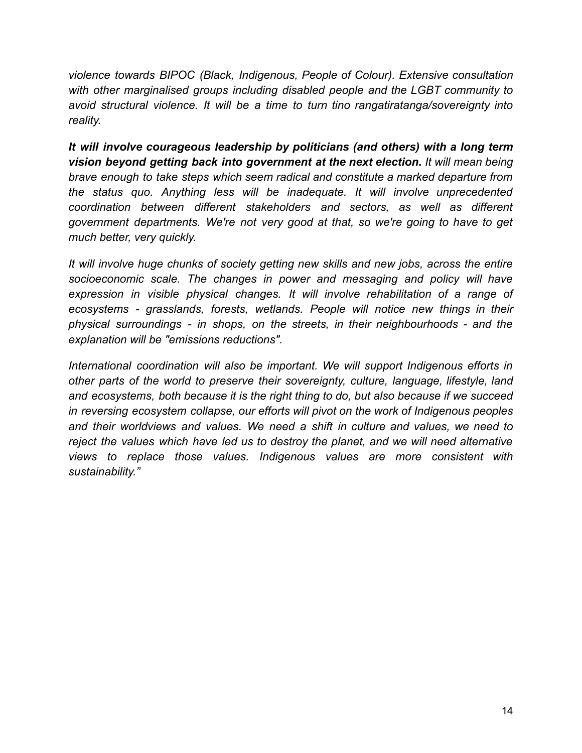*violence towards BIPOC (Black, Indigenous, People of Colour). Extensive consultation with other marginalised groups including disabled people and the LGBT community to avoid structural violence. It will be a time to turn tino rangatiratanga/sovereignty into reality.*

*It will involve courageous leadership by politicians (and others) with a long term vision beyond getting back into government at the next election. It will mean being brave enough to take steps which seem radical and constitute a marked departure from the status quo. Anything less will be inadequate. It will involve unprecedented coordination between different stakeholders and sectors, as well as different government departments. We're not very good at that, so we're going to have to get much better, very quickly.*

*It will involve huge chunks of society getting new skills and new jobs, across the entire socioeconomic scale. The changes in power and messaging and policy will have expression in visible physical changes. It will involve rehabilitation of a range of ecosystems - grasslands, forests, wetlands. People will notice new things in their physical surroundings - in shops, on the streets, in their neighbourhoods - and the explanation will be "emissions reductions".*

*International coordination will also be important. We will support Indigenous efforts in other parts of the world to preserve their sovereignty, culture, language, lifestyle, land and ecosystems, both because it is the right thing to do, but also because if we succeed in reversing ecosystem collapse, our efforts will pivot on the work of Indigenous peoples and their worldviews and values. We need a shift in culture and values, we need to reject the values which have led us to destroy the planet, and we will need alternative views to replace those values. Indigenous values are more consistent with sustainability."*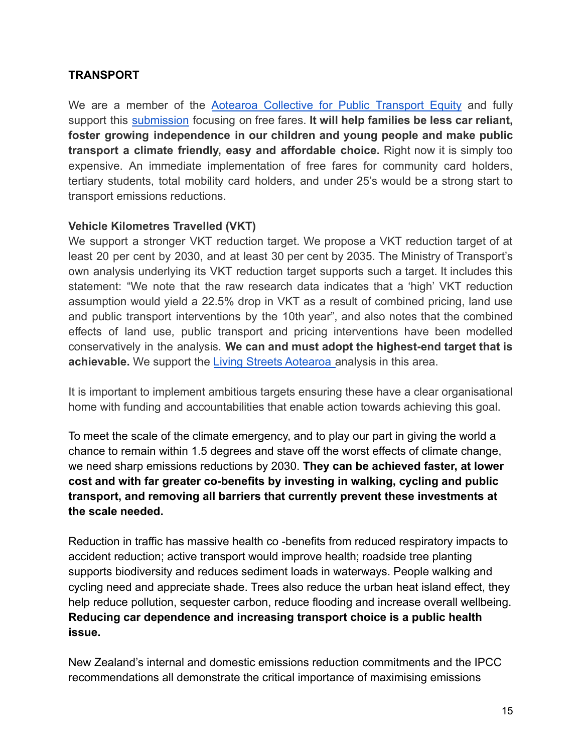### **TRANSPORT**

We are a member of the Aotearoa [Collective](https://freefares.nz/) for Public Transport Equity and fully support this [submission](https://freefaresnz.files.wordpress.com/2021/11/draft-erp-submission.pdf) focusing on free fares. **It will help families be less car reliant, foster growing independence in our children and young people and make public transport a climate friendly, easy and affordable choice.** Right now it is simply too expensive. An immediate implementation of free fares for community card holders, tertiary students, total mobility card holders, and under 25's would be a strong start to transport emissions reductions.

#### **Vehicle Kilometres Travelled (VKT)**

We support a stronger VKT reduction target. We propose a VKT reduction target of at least 20 per cent by 2030, and at least 30 per cent by 2035. The Ministry of Transport's own analysis underlying its VKT reduction target supports such a target. It includes this statement: "We note that the raw research data indicates that a 'high' VKT reduction assumption would yield a 22.5% drop in VKT as a result of combined pricing, land use and public transport interventions by the 10th year", and also notes that the combined effects of land use, public transport and pricing interventions have been modelled conservatively in the analysis. **We can and must adopt the highest-end target that is** achievable. We support the *[Living Streets Aotearoa](https://www.livingstreets.org.nz/submissions)* analysis in this area.

It is important to implement ambitious targets ensuring these have a clear organisational home with funding and accountabilities that enable action towards achieving this goal.

To meet the scale of the climate emergency, and to play our part in giving the world a chance to remain within 1.5 degrees and stave off the worst effects of climate change, we need sharp emissions reductions by 2030. **They can be achieved faster, at lower cost and with far greater co-benefits by investing in walking, cycling and public transport, and removing all barriers that currently prevent these investments at the scale needed.**

Reduction in traffic has massive health co -benefits from reduced respiratory impacts to accident reduction; active transport would improve health; roadside tree planting supports biodiversity and reduces sediment loads in waterways. People walking and cycling need and appreciate shade. Trees also reduce the urban heat island effect, they help reduce pollution, sequester carbon, reduce flooding and increase overall wellbeing. **Reducing car dependence and increasing transport choice is a public health issue.**

New Zealand's internal and domestic emissions reduction commitments and the IPCC recommendations all demonstrate the critical importance of maximising emissions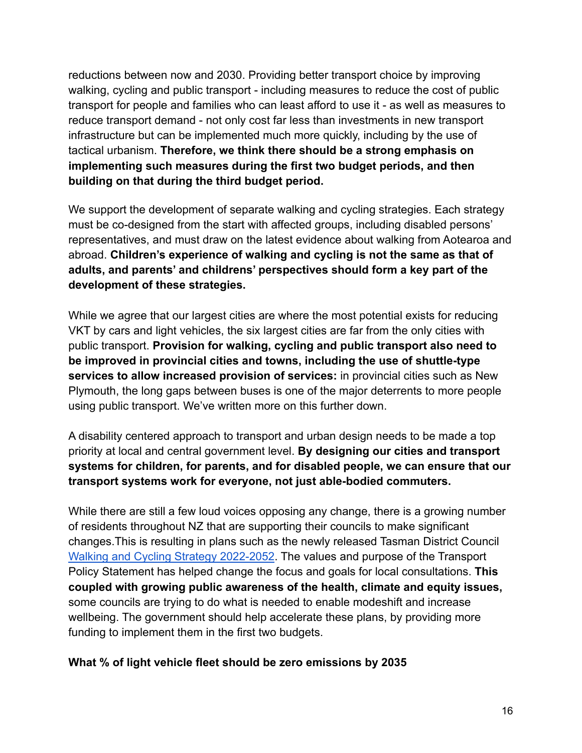reductions between now and 2030. Providing better transport choice by improving walking, cycling and public transport - including measures to reduce the cost of public transport for people and families who can least afford to use it - as well as measures to reduce transport demand - not only cost far less than investments in new transport infrastructure but can be implemented much more quickly, including by the use of tactical urbanism. **Therefore, we think there should be a strong emphasis on implementing such measures during the first two budget periods, and then building on that during the third budget period.**

We support the development of separate walking and cycling strategies. Each strategy must be co-designed from the start with affected groups, including disabled persons' representatives, and must draw on the latest evidence about walking from Aotearoa and abroad. **Children's experience of walking and cycling is not the same as that of adults, and parents' and childrens' perspectives should form a key part of the development of these strategies.**

While we agree that our largest cities are where the most potential exists for reducing VKT by cars and light vehicles, the six largest cities are far from the only cities with public transport. **Provision for walking, cycling and public transport also need to be improved in provincial cities and towns, including the use of shuttle-type services to allow increased provision of services:** in provincial cities such as New Plymouth, the long gaps between buses is one of the major deterrents to more people using public transport. We've written more on this further down.

A disability centered approach to transport and urban design needs to be made a top priority at local and central government level. **By designing our cities and transport systems for children, for parents, and for disabled people, we can ensure that our transport systems work for everyone, not just able-bodied commuters.**

While there are still a few loud voices opposing any change, there is a growing number of residents throughout NZ that are supporting their councils to make significant changes.This is resulting in plans such as the newly released Tasman District Council [Walking and Cycling Strategy 2022-2052](https://www.tasman.govt.nz/my-council/public-consultation/current-consultations/draft-walking-and-cycling-strategy/). The values and purpose of the Transport Policy Statement has helped change the focus and goals for local consultations. **This coupled with growing public awareness of the health, climate and equity issues,** some councils are trying to do what is needed to enable modeshift and increase wellbeing. The government should help accelerate these plans, by providing more funding to implement them in the first two budgets.

#### **What % of light vehicle fleet should be zero emissions by 2035**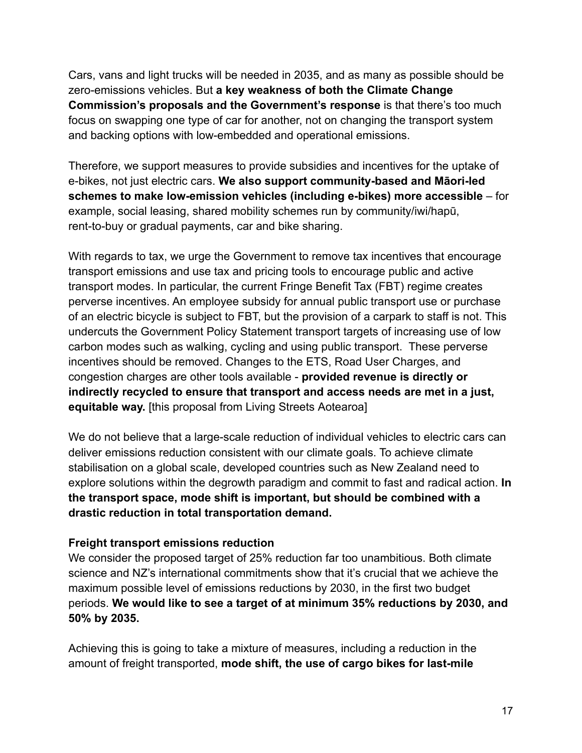Cars, vans and light trucks will be needed in 2035, and as many as possible should be zero-emissions vehicles. But **a key weakness of both the Climate Change Commission's proposals and the Government's response** is that there's too much focus on swapping one type of car for another, not on changing the transport system and backing options with low-embedded and operational emissions.

Therefore, we support measures to provide subsidies and incentives for the uptake of e-bikes, not just electric cars. **We also support community-based and Māori-led schemes to make low-emission vehicles (including e-bikes) more accessible** – for example, social leasing, shared mobility schemes run by community/iwi/hapū, rent-to-buy or gradual payments, car and bike sharing.

With regards to tax, we urge the Government to remove tax incentives that encourage transport emissions and use tax and pricing tools to encourage public and active transport modes. In particular, the current Fringe Benefit Tax (FBT) regime creates perverse incentives. An employee subsidy for annual public transport use or purchase of an electric bicycle is subject to FBT, but the provision of a carpark to staff is not. This undercuts the Government Policy Statement transport targets of increasing use of low carbon modes such as walking, cycling and using public transport. These perverse incentives should be removed. Changes to the ETS, Road User Charges, and congestion charges are other tools available - **provided revenue is directly or indirectly recycled to ensure that transport and access needs are met in a just, equitable way.** [this proposal from Living Streets Aotearoa]

We do not believe that a large-scale reduction of individual vehicles to electric cars can deliver emissions reduction consistent with our climate goals. To achieve climate stabilisation on a global scale, developed countries such as New Zealand need to explore solutions within the degrowth paradigm and commit to fast and radical action. **In the transport space, mode shift is important, but should be combined with a drastic reduction in total transportation demand.**

#### **Freight transport emissions reduction**

We consider the proposed target of 25% reduction far too unambitious. Both climate science and NZ's international commitments show that it's crucial that we achieve the maximum possible level of emissions reductions by 2030, in the first two budget periods. **We would like to see a target of at minimum 35% reductions by 2030, and 50% by 2035.**

Achieving this is going to take a mixture of measures, including a reduction in the amount of freight transported, **mode shift, the use of cargo bikes for last-mile**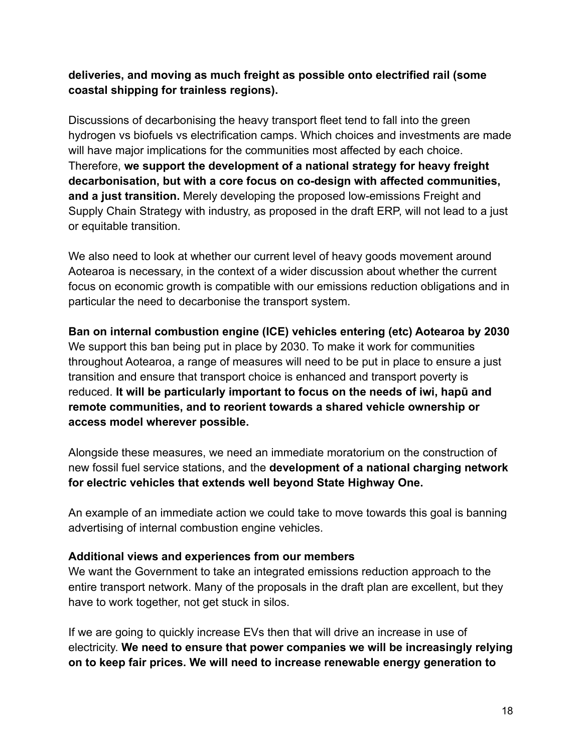### **deliveries, and moving as much freight as possible onto electrified rail (some coastal shipping for trainless regions).**

Discussions of decarbonising the heavy transport fleet tend to fall into the green hydrogen vs biofuels vs electrification camps. Which choices and investments are made will have major implications for the communities most affected by each choice. Therefore, **we support the development of a national strategy for heavy freight decarbonisation, but with a core focus on co-design with affected communities, and a just transition.** Merely developing the proposed low-emissions Freight and Supply Chain Strategy with industry, as proposed in the draft ERP, will not lead to a just or equitable transition.

We also need to look at whether our current level of heavy goods movement around Aotearoa is necessary, in the context of a wider discussion about whether the current focus on economic growth is compatible with our emissions reduction obligations and in particular the need to decarbonise the transport system.

**Ban on internal combustion engine (ICE) vehicles entering (etc) Aotearoa by 2030** We support this ban being put in place by 2030. To make it work for communities throughout Aotearoa, a range of measures will need to be put in place to ensure a just transition and ensure that transport choice is enhanced and transport poverty is reduced. **It will be particularly important to focus on the needs of iwi, hapū and remote communities, and to reorient towards a shared vehicle ownership or access model wherever possible.**

Alongside these measures, we need an immediate moratorium on the construction of new fossil fuel service stations, and the **development of a national charging network for electric vehicles that extends well beyond State Highway One.**

An example of an immediate action we could take to move towards this goal is banning advertising of internal combustion engine vehicles.

#### **Additional views and experiences from our members**

We want the Government to take an integrated emissions reduction approach to the entire transport network. Many of the proposals in the draft plan are excellent, but they have to work together, not get stuck in silos.

If we are going to quickly increase EVs then that will drive an increase in use of electricity. **We need to ensure that power companies we will be increasingly relying on to keep fair prices. We will need to increase renewable energy generation to**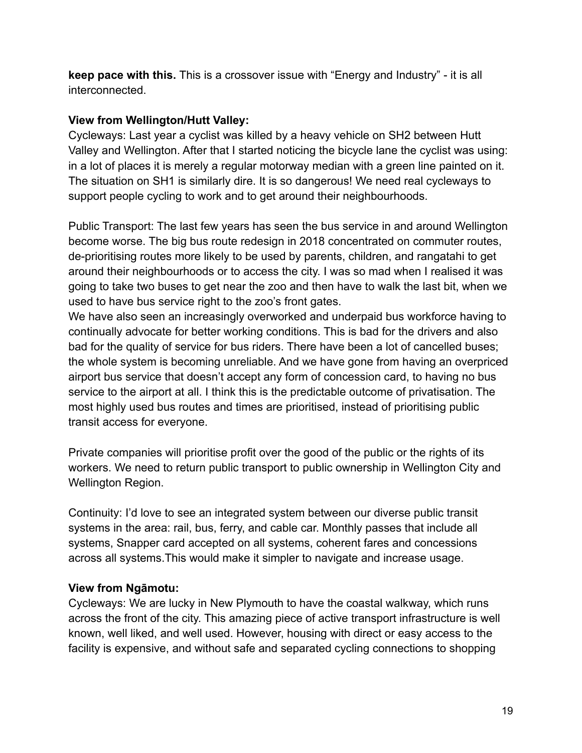**keep pace with this.** This is a crossover issue with "Energy and Industry" - it is all interconnected.

### **View from Wellington/Hutt Valley:**

Cycleways: Last year a cyclist was killed by a heavy vehicle on SH2 between Hutt Valley and Wellington. After that I started noticing the bicycle lane the cyclist was using: in a lot of places it is merely a regular motorway median with a green line painted on it. The situation on SH1 is similarly dire. It is so dangerous! We need real cycleways to support people cycling to work and to get around their neighbourhoods.

Public Transport: The last few years has seen the bus service in and around Wellington become worse. The big bus route redesign in 2018 concentrated on commuter routes, de-prioritising routes more likely to be used by parents, children, and rangatahi to get around their neighbourhoods or to access the city. I was so mad when I realised it was going to take two buses to get near the zoo and then have to walk the last bit, when we used to have bus service right to the zoo's front gates.

We have also seen an increasingly overworked and underpaid bus workforce having to continually advocate for better working conditions. This is bad for the drivers and also bad for the quality of service for bus riders. There have been a lot of cancelled buses; the whole system is becoming unreliable. And we have gone from having an overpriced airport bus service that doesn't accept any form of concession card, to having no bus service to the airport at all. I think this is the predictable outcome of privatisation. The most highly used bus routes and times are prioritised, instead of prioritising public transit access for everyone.

Private companies will prioritise profit over the good of the public or the rights of its workers. We need to return public transport to public ownership in Wellington City and Wellington Region.

Continuity: I'd love to see an integrated system between our diverse public transit systems in the area: rail, bus, ferry, and cable car. Monthly passes that include all systems, Snapper card accepted on all systems, coherent fares and concessions across all systems.This would make it simpler to navigate and increase usage.

### **View from Ngāmotu:**

Cycleways: We are lucky in New Plymouth to have the coastal walkway, which runs across the front of the city. This amazing piece of active transport infrastructure is well known, well liked, and well used. However, housing with direct or easy access to the facility is expensive, and without safe and separated cycling connections to shopping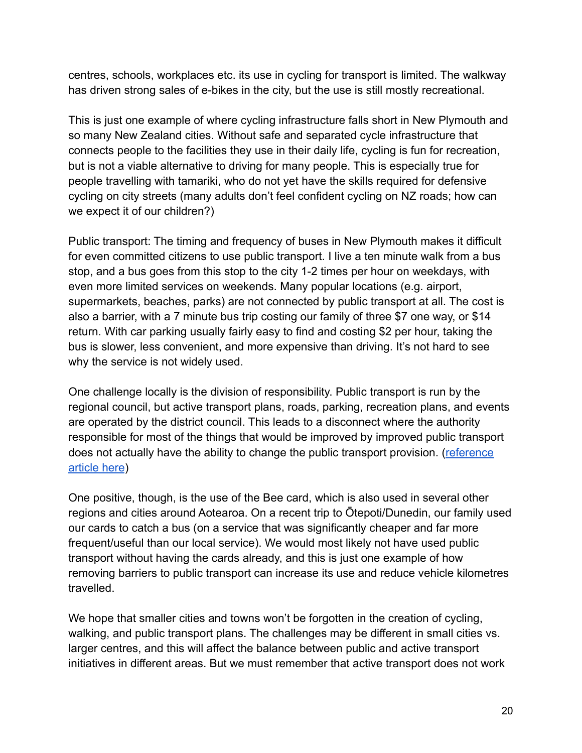centres, schools, workplaces etc. its use in cycling for transport is limited. The walkway has driven strong sales of e-bikes in the city, but the use is still mostly recreational.

This is just one example of where cycling infrastructure falls short in New Plymouth and so many New Zealand cities. Without safe and separated cycle infrastructure that connects people to the facilities they use in their daily life, cycling is fun for recreation, but is not a viable alternative to driving for many people. This is especially true for people travelling with tamariki, who do not yet have the skills required for defensive cycling on city streets (many adults don't feel confident cycling on NZ roads; how can we expect it of our children?)

Public transport: The timing and frequency of buses in New Plymouth makes it difficult for even committed citizens to use public transport. I live a ten minute walk from a bus stop, and a bus goes from this stop to the city 1-2 times per hour on weekdays, with even more limited services on weekends. Many popular locations (e.g. airport, supermarkets, beaches, parks) are not connected by public transport at all. The cost is also a barrier, with a 7 minute bus trip costing our family of three \$7 one way, or \$14 return. With car parking usually fairly easy to find and costing \$2 per hour, taking the bus is slower, less convenient, and more expensive than driving. It's not hard to see why the service is not widely used.

One challenge locally is the division of responsibility. Public transport is run by the regional council, but active transport plans, roads, parking, recreation plans, and events are operated by the district council. This leads to a disconnect where the authority responsible for most of the things that would be improved by improved public transport does not actually have the ability to change the public transport provision. ([reference](https://www.stuff.co.nz/taranaki-daily-news/opinion/300438788/on-the-bus-making-a-transport-silk-purse-out-of-a-legislative-sows-ear) [article here](https://www.stuff.co.nz/taranaki-daily-news/opinion/300438788/on-the-bus-making-a-transport-silk-purse-out-of-a-legislative-sows-ear))

One positive, though, is the use of the Bee card, which is also used in several other regions and cities around Aotearoa. On a recent trip to Ōtepoti/Dunedin, our family used our cards to catch a bus (on a service that was significantly cheaper and far more frequent/useful than our local service). We would most likely not have used public transport without having the cards already, and this is just one example of how removing barriers to public transport can increase its use and reduce vehicle kilometres travelled.

We hope that smaller cities and towns won't be forgotten in the creation of cycling, walking, and public transport plans. The challenges may be different in small cities vs. larger centres, and this will affect the balance between public and active transport initiatives in different areas. But we must remember that active transport does not work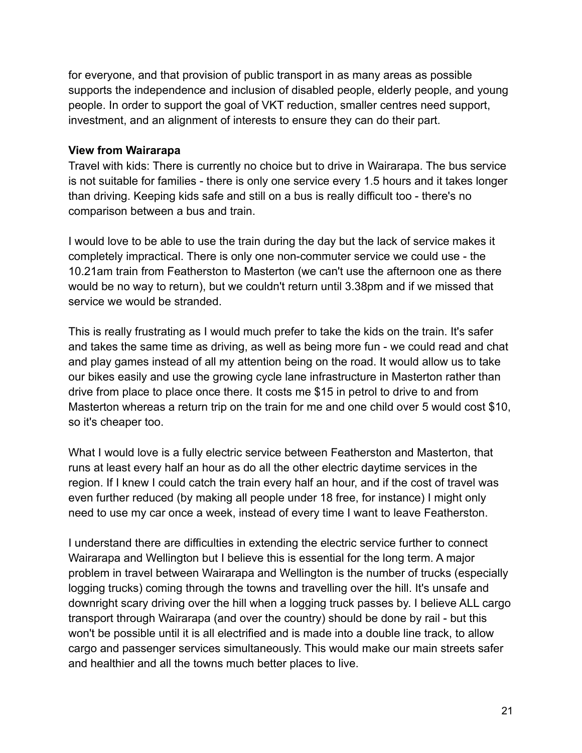for everyone, and that provision of public transport in as many areas as possible supports the independence and inclusion of disabled people, elderly people, and young people. In order to support the goal of VKT reduction, smaller centres need support, investment, and an alignment of interests to ensure they can do their part.

#### **View from Wairarapa**

Travel with kids: There is currently no choice but to drive in Wairarapa. The bus service is not suitable for families - there is only one service every 1.5 hours and it takes longer than driving. Keeping kids safe and still on a bus is really difficult too - there's no comparison between a bus and train.

I would love to be able to use the train during the day but the lack of service makes it completely impractical. There is only one non-commuter service we could use - the 10.21am train from Featherston to Masterton (we can't use the afternoon one as there would be no way to return), but we couldn't return until 3.38pm and if we missed that service we would be stranded.

This is really frustrating as I would much prefer to take the kids on the train. It's safer and takes the same time as driving, as well as being more fun - we could read and chat and play games instead of all my attention being on the road. It would allow us to take our bikes easily and use the growing cycle lane infrastructure in Masterton rather than drive from place to place once there. It costs me \$15 in petrol to drive to and from Masterton whereas a return trip on the train for me and one child over 5 would cost \$10, so it's cheaper too.

What I would love is a fully electric service between Featherston and Masterton, that runs at least every half an hour as do all the other electric daytime services in the region. If I knew I could catch the train every half an hour, and if the cost of travel was even further reduced (by making all people under 18 free, for instance) I might only need to use my car once a week, instead of every time I want to leave Featherston.

I understand there are difficulties in extending the electric service further to connect Wairarapa and Wellington but I believe this is essential for the long term. A major problem in travel between Wairarapa and Wellington is the number of trucks (especially logging trucks) coming through the towns and travelling over the hill. It's unsafe and downright scary driving over the hill when a logging truck passes by. I believe ALL cargo transport through Wairarapa (and over the country) should be done by rail - but this won't be possible until it is all electrified and is made into a double line track, to allow cargo and passenger services simultaneously. This would make our main streets safer and healthier and all the towns much better places to live.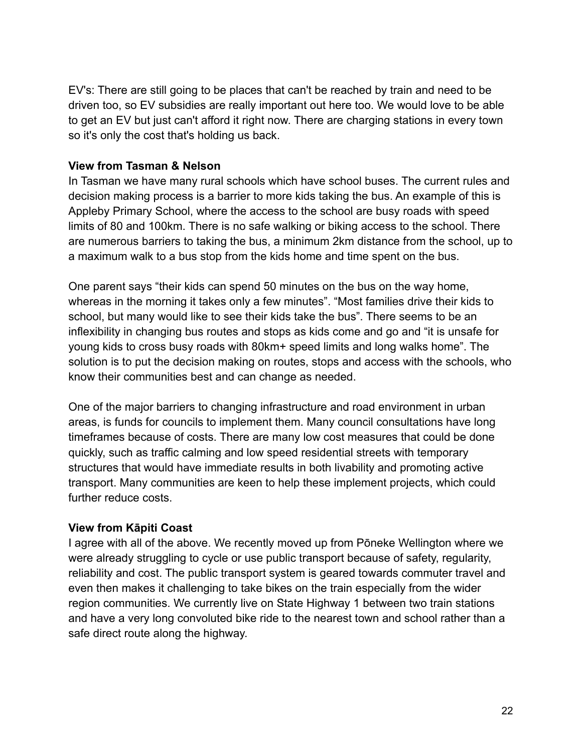EV's: There are still going to be places that can't be reached by train and need to be driven too, so EV subsidies are really important out here too. We would love to be able to get an EV but just can't afford it right now. There are charging stations in every town so it's only the cost that's holding us back.

#### **View from Tasman & Nelson**

In Tasman we have many rural schools which have school buses. The current rules and decision making process is a barrier to more kids taking the bus. An example of this is Appleby Primary School, where the access to the school are busy roads with speed limits of 80 and 100km. There is no safe walking or biking access to the school. There are numerous barriers to taking the bus, a minimum 2km distance from the school, up to a maximum walk to a bus stop from the kids home and time spent on the bus.

One parent says "their kids can spend 50 minutes on the bus on the way home, whereas in the morning it takes only a few minutes". "Most families drive their kids to school, but many would like to see their kids take the bus". There seems to be an inflexibility in changing bus routes and stops as kids come and go and "it is unsafe for young kids to cross busy roads with 80km+ speed limits and long walks home". The solution is to put the decision making on routes, stops and access with the schools, who know their communities best and can change as needed.

One of the major barriers to changing infrastructure and road environment in urban areas, is funds for councils to implement them. Many council consultations have long timeframes because of costs. There are many low cost measures that could be done quickly, such as traffic calming and low speed residential streets with temporary structures that would have immediate results in both livability and promoting active transport. Many communities are keen to help these implement projects, which could further reduce costs.

#### **View from Kāpiti Coast**

I agree with all of the above. We recently moved up from Pōneke Wellington where we were already struggling to cycle or use public transport because of safety, regularity, reliability and cost. The public transport system is geared towards commuter travel and even then makes it challenging to take bikes on the train especially from the wider region communities. We currently live on State Highway 1 between two train stations and have a very long convoluted bike ride to the nearest town and school rather than a safe direct route along the highway.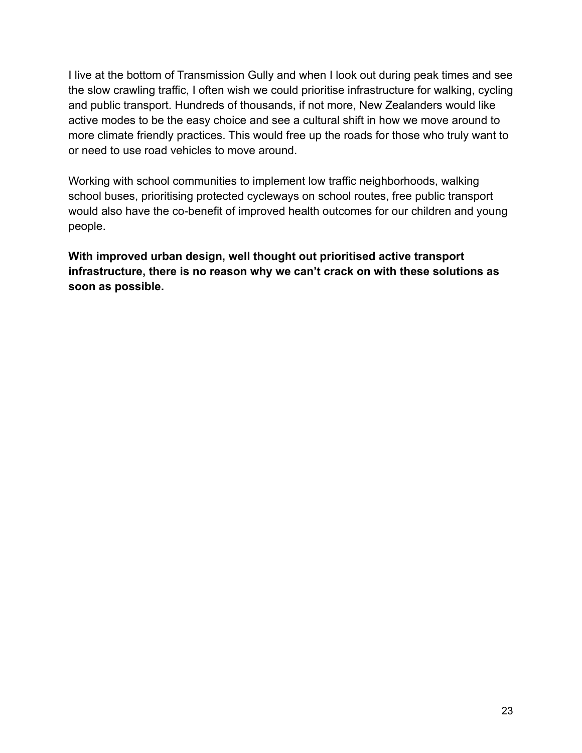I live at the bottom of Transmission Gully and when I look out during peak times and see the slow crawling traffic, I often wish we could prioritise infrastructure for walking, cycling and public transport. Hundreds of thousands, if not more, New Zealanders would like active modes to be the easy choice and see a cultural shift in how we move around to more climate friendly practices. This would free up the roads for those who truly want to or need to use road vehicles to move around.

Working with school communities to implement low traffic neighborhoods, walking school buses, prioritising protected cycleways on school routes, free public transport would also have the co-benefit of improved health outcomes for our children and young people.

**With improved urban design, well thought out prioritised active transport infrastructure, there is no reason why we can't crack on with these solutions as soon as possible.**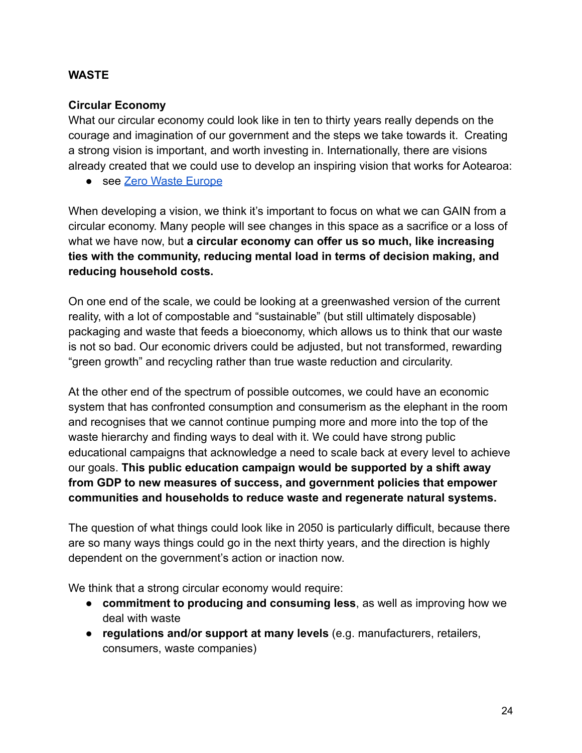### **WASTE**

### **Circular Economy**

What our circular economy could look like in ten to thirty years really depends on the courage and imagination of our government and the steps we take towards it. Creating a strong vision is important, and worth investing in. Internationally, there are visions already created that we could use to develop an inspiring vision that works for Aotearoa:

● see [Zero Waste Europe](https://zerowasteeurope.eu/wp-content/uploads/2020/07/zero_waste_europe_booklet_dare-to-imagine-a-better-future_en.pdf)

When developing a vision, we think it's important to focus on what we can GAIN from a circular economy. Many people will see changes in this space as a sacrifice or a loss of what we have now, but **a circular economy can offer us so much, like increasing ties with the community, reducing mental load in terms of decision making, and reducing household costs.**

On one end of the scale, we could be looking at a greenwashed version of the current reality, with a lot of compostable and "sustainable" (but still ultimately disposable) packaging and waste that feeds a bioeconomy, which allows us to think that our waste is not so bad. Our economic drivers could be adjusted, but not transformed, rewarding "green growth" and recycling rather than true waste reduction and circularity.

At the other end of the spectrum of possible outcomes, we could have an economic system that has confronted consumption and consumerism as the elephant in the room and recognises that we cannot continue pumping more and more into the top of the waste hierarchy and finding ways to deal with it. We could have strong public educational campaigns that acknowledge a need to scale back at every level to achieve our goals. **This public education campaign would be supported by a shift away from GDP to new measures of success, and government policies that empower communities and households to reduce waste and regenerate natural systems.**

The question of what things could look like in 2050 is particularly difficult, because there are so many ways things could go in the next thirty years, and the direction is highly dependent on the government's action or inaction now.

We think that a strong circular economy would require:

- **commitment to producing and consuming less**, as well as improving how we deal with waste
- **regulations and/or support at many levels** (e.g. manufacturers, retailers, consumers, waste companies)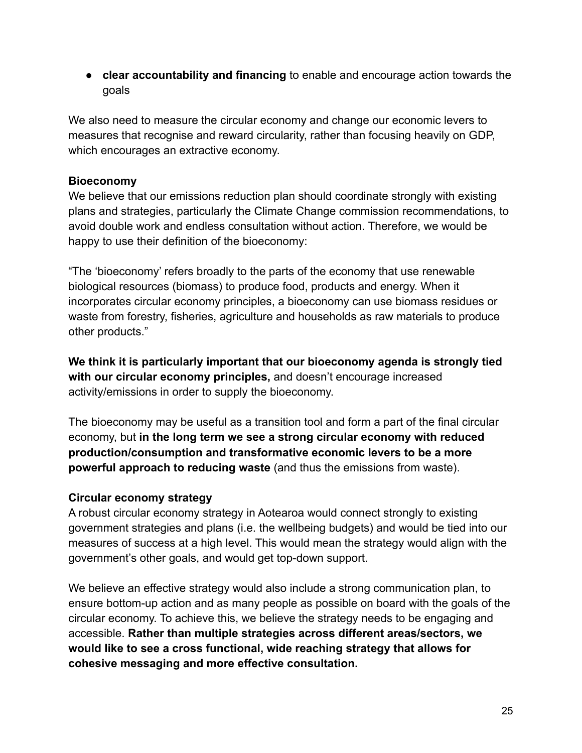● **clear accountability and financing** to enable and encourage action towards the goals

We also need to measure the circular economy and change our economic levers to measures that recognise and reward circularity, rather than focusing heavily on GDP, which encourages an extractive economy.

### **Bioeconomy**

We believe that our emissions reduction plan should coordinate strongly with existing plans and strategies, particularly the Climate Change commission recommendations, to avoid double work and endless consultation without action. Therefore, we would be happy to use their definition of the bioeconomy:

"The 'bioeconomy' refers broadly to the parts of the economy that use renewable biological resources (biomass) to produce food, products and energy. When it incorporates circular economy principles, a bioeconomy can use biomass residues or waste from forestry, fisheries, agriculture and households as raw materials to produce other products."

**We think it is particularly important that our bioeconomy agenda is strongly tied with our circular economy principles,** and doesn't encourage increased activity/emissions in order to supply the bioeconomy.

The bioeconomy may be useful as a transition tool and form a part of the final circular economy, but **in the long term we see a strong circular economy with reduced production/consumption and transformative economic levers to be a more powerful approach to reducing waste** (and thus the emissions from waste).

### **Circular economy strategy**

A robust circular economy strategy in Aotearoa would connect strongly to existing government strategies and plans (i.e. the wellbeing budgets) and would be tied into our measures of success at a high level. This would mean the strategy would align with the government's other goals, and would get top-down support.

We believe an effective strategy would also include a strong communication plan, to ensure bottom-up action and as many people as possible on board with the goals of the circular economy. To achieve this, we believe the strategy needs to be engaging and accessible. **Rather than multiple strategies across different areas/sectors, we would like to see a cross functional, wide reaching strategy that allows for cohesive messaging and more effective consultation.**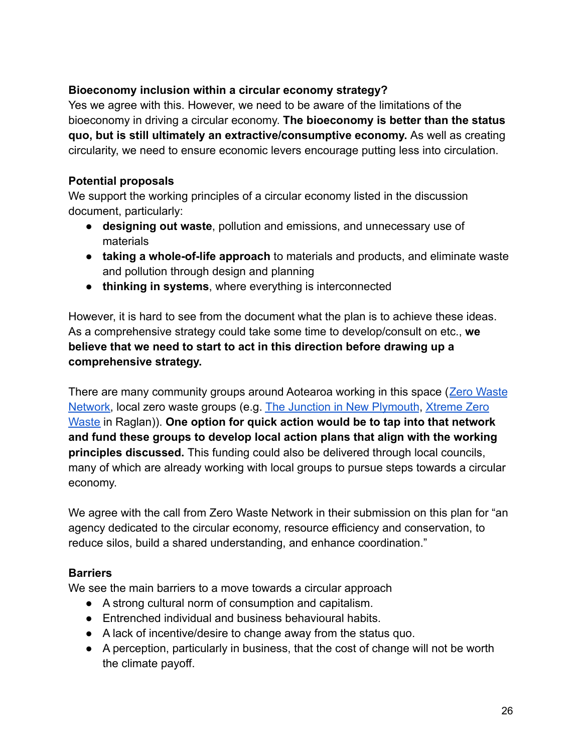### **Bioeconomy inclusion within a circular economy strategy?**

Yes we agree with this. However, we need to be aware of the limitations of the bioeconomy in driving a circular economy. **The bioeconomy is better than the status quo, but is still ultimately an extractive/consumptive economy.** As well as creating circularity, we need to ensure economic levers encourage putting less into circulation.

#### **Potential proposals**

We support the working principles of a circular economy listed in the discussion document, particularly:

- **designing out waste**, pollution and emissions, and unnecessary use of materials
- **taking a whole-of-life approach** to materials and products, and eliminate waste and pollution through design and planning
- **thinking in systems**, where everything is interconnected

However, it is hard to see from the document what the plan is to achieve these ideas. As a comprehensive strategy could take some time to develop/consult on etc., **we believe that we need to start to act in this direction before drawing up a comprehensive strategy.**

There are many community groups around Aotearoa working in this space ([Zero Waste](https://zerowaste.co.nz/) [Network](https://zerowaste.co.nz/), local zero waste groups (e.g. The Junction [in New Plymouth](https://www.sustainabletaranaki.org.nz/the-junction), [Xtreme Zero](https://xtremezerowaste.org.nz/) [Waste](https://xtremezerowaste.org.nz/) in Raglan)). **One option for quick action would be to tap into that network and fund these groups to develop local action plans that align with the working principles discussed.** This funding could also be delivered through local councils, many of which are already working with local groups to pursue steps towards a circular economy.

We agree with the call from Zero Waste Network in their submission on this plan for "an agency dedicated to the circular economy, resource efficiency and conservation, to reduce silos, build a shared understanding, and enhance coordination."

#### **Barriers**

We see the main barriers to a move towards a circular approach

- A strong cultural norm of consumption and capitalism.
- Entrenched individual and business behavioural habits.
- A lack of incentive/desire to change away from the status quo.
- A perception, particularly in business, that the cost of change will not be worth the climate payoff.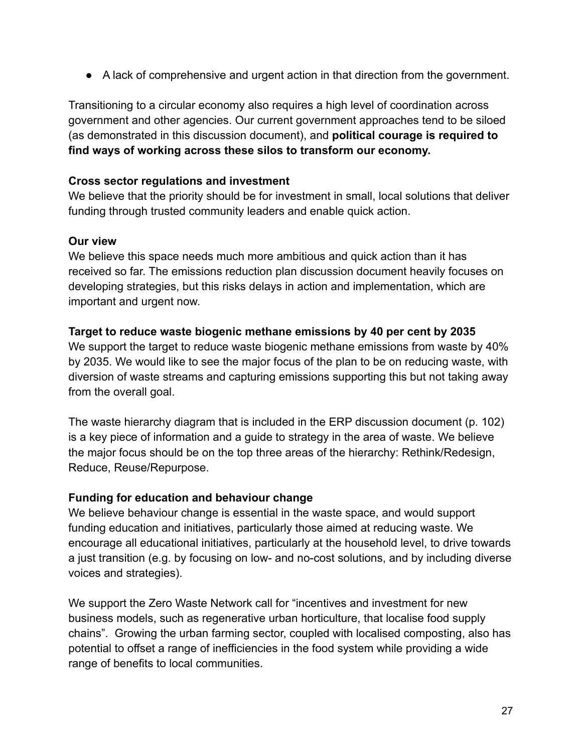● A lack of comprehensive and urgent action in that direction from the government.

Transitioning to a circular economy also requires a high level of coordination across government and other agencies. Our current government approaches tend to be siloed (as demonstrated in this discussion document), and **political courage is required to find ways of working across these silos to transform our economy.**

#### **Cross sector regulations and investment**

We believe that the priority should be for investment in small, local solutions that deliver funding through trusted community leaders and enable quick action.

#### **Our view**

We believe this space needs much more ambitious and quick action than it has received so far. The emissions reduction plan discussion document heavily focuses on developing strategies, but this risks delays in action and implementation, which are important and urgent now.

#### **Target to reduce waste biogenic methane emissions by 40 per cent by 2035**

We support the target to reduce waste biogenic methane emissions from waste by 40% by 2035. We would like to see the major focus of the plan to be on reducing waste, with diversion of waste streams and capturing emissions supporting this but not taking away from the overall goal.

The waste hierarchy diagram that is included in the ERP discussion document (p. 102) is a key piece of information and a guide to strategy in the area of waste. We believe the major focus should be on the top three areas of the hierarchy: Rethink/Redesign, Reduce, Reuse/Repurpose.

#### **Funding for education and behaviour change**

We believe behaviour change is essential in the waste space, and would support funding education and initiatives, particularly those aimed at reducing waste. We encourage all educational initiatives, particularly at the household level, to drive towards a just transition (e.g. by focusing on low- and no-cost solutions, and by including diverse voices and strategies).

We support the Zero Waste Network call for "incentives and investment for new business models, such as regenerative urban horticulture, that localise food supply chains". Growing the urban farming sector, coupled with localised composting, also has potential to offset a range of inefficiencies in the food system while providing a wide range of benefits to local communities.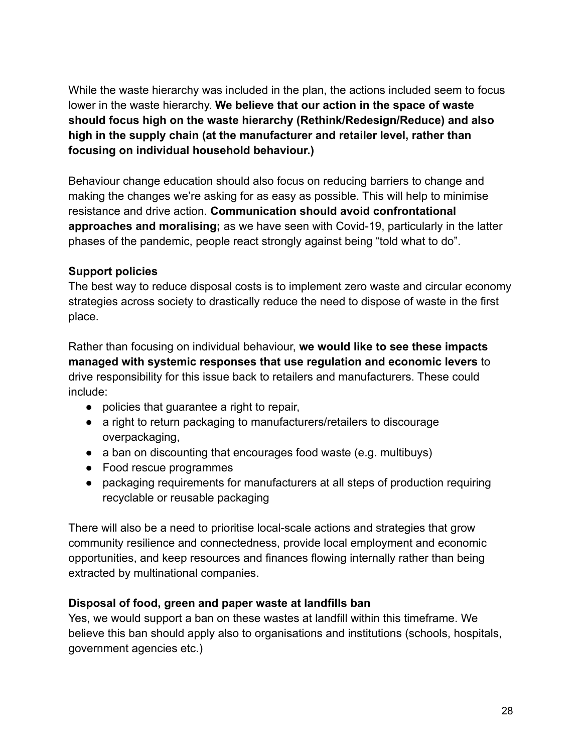While the waste hierarchy was included in the plan, the actions included seem to focus lower in the waste hierarchy. **We believe that our action in the space of waste should focus high on the waste hierarchy (Rethink/Redesign/Reduce) and also high in the supply chain (at the manufacturer and retailer level, rather than focusing on individual household behaviour.)**

Behaviour change education should also focus on reducing barriers to change and making the changes we're asking for as easy as possible. This will help to minimise resistance and drive action. **Communication should avoid confrontational approaches and moralising;** as we have seen with Covid-19, particularly in the latter phases of the pandemic, people react strongly against being "told what to do".

### **Support policies**

The best way to reduce disposal costs is to implement zero waste and circular economy strategies across society to drastically reduce the need to dispose of waste in the first place.

Rather than focusing on individual behaviour, **we would like to see these impacts managed with systemic responses that use regulation and economic levers** to drive responsibility for this issue back to retailers and manufacturers. These could include:

- policies that guarantee a right to repair,
- a right to return packaging to manufacturers/retailers to discourage overpackaging,
- a ban on discounting that encourages food waste (e.g. multibuys)
- Food rescue programmes
- packaging requirements for manufacturers at all steps of production requiring recyclable or reusable packaging

There will also be a need to prioritise local-scale actions and strategies that grow community resilience and connectedness, provide local employment and economic opportunities, and keep resources and finances flowing internally rather than being extracted by multinational companies.

### **Disposal of food, green and paper waste at landfills ban**

Yes, we would support a ban on these wastes at landfill within this timeframe. We believe this ban should apply also to organisations and institutions (schools, hospitals, government agencies etc.)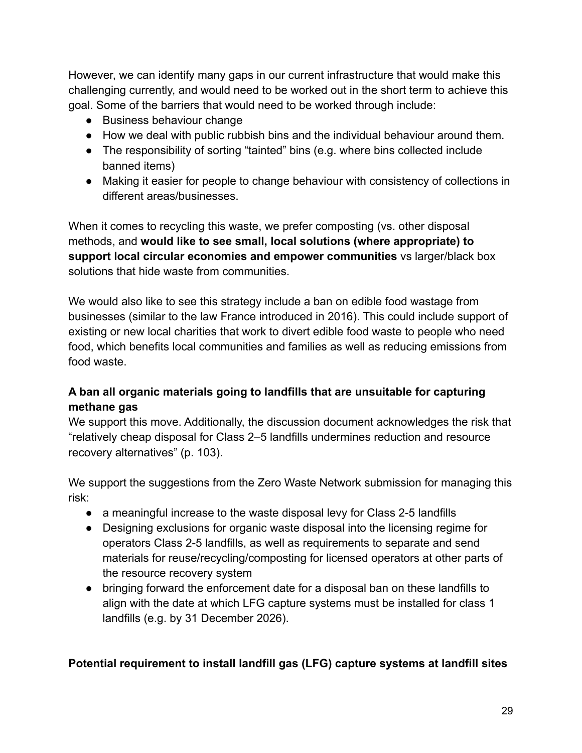However, we can identify many gaps in our current infrastructure that would make this challenging currently, and would need to be worked out in the short term to achieve this goal. Some of the barriers that would need to be worked through include:

- Business behaviour change
- How we deal with public rubbish bins and the individual behaviour around them.
- The responsibility of sorting "tainted" bins (e.g. where bins collected include banned items)
- Making it easier for people to change behaviour with consistency of collections in different areas/businesses.

When it comes to recycling this waste, we prefer composting (vs. other disposal methods, and **would like to see small, local solutions (where appropriate) to support local circular economies and empower communities** vs larger/black box solutions that hide waste from communities.

We would also like to see this strategy include a ban on edible food wastage from businesses (similar to the law France introduced in 2016). This could include support of existing or new local charities that work to divert edible food waste to people who need food, which benefits local communities and families as well as reducing emissions from food waste.

### **A ban all organic materials going to landfills that are unsuitable for capturing methane gas**

We support this move. Additionally, the discussion document acknowledges the risk that "relatively cheap disposal for Class 2–5 landfills undermines reduction and resource recovery alternatives" (p. 103).

We support the suggestions from the Zero Waste Network submission for managing this risk:

- a meaningful increase to the waste disposal levy for Class 2-5 landfills
- Designing exclusions for organic waste disposal into the licensing regime for operators Class 2-5 landfills, as well as requirements to separate and send materials for reuse/recycling/composting for licensed operators at other parts of the resource recovery system
- bringing forward the enforcement date for a disposal ban on these landfills to align with the date at which LFG capture systems must be installed for class 1 landfills (e.g. by 31 December 2026).

### **Potential requirement to install landfill gas (LFG) capture systems at landfill sites**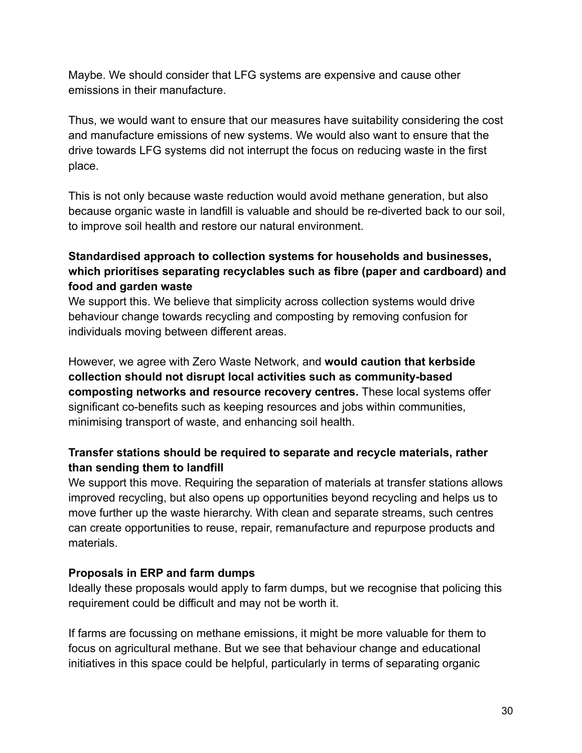Maybe. We should consider that LFG systems are expensive and cause other emissions in their manufacture.

Thus, we would want to ensure that our measures have suitability considering the cost and manufacture emissions of new systems. We would also want to ensure that the drive towards LFG systems did not interrupt the focus on reducing waste in the first place.

This is not only because waste reduction would avoid methane generation, but also because organic waste in landfill is valuable and should be re-diverted back to our soil, to improve soil health and restore our natural environment.

### **Standardised approach to collection systems for households and businesses, which prioritises separating recyclables such as fibre (paper and cardboard) and food and garden waste**

We support this. We believe that simplicity across collection systems would drive behaviour change towards recycling and composting by removing confusion for individuals moving between different areas.

However, we agree with Zero Waste Network, and **would caution that kerbside collection should not disrupt local activities such as community-based composting networks and resource recovery centres.** These local systems offer significant co-benefits such as keeping resources and jobs within communities, minimising transport of waste, and enhancing soil health.

### **Transfer stations should be required to separate and recycle materials, rather than sending them to landfill**

We support this move. Requiring the separation of materials at transfer stations allows improved recycling, but also opens up opportunities beyond recycling and helps us to move further up the waste hierarchy. With clean and separate streams, such centres can create opportunities to reuse, repair, remanufacture and repurpose products and materials.

#### **Proposals in ERP and farm dumps**

Ideally these proposals would apply to farm dumps, but we recognise that policing this requirement could be difficult and may not be worth it.

If farms are focussing on methane emissions, it might be more valuable for them to focus on agricultural methane. But we see that behaviour change and educational initiatives in this space could be helpful, particularly in terms of separating organic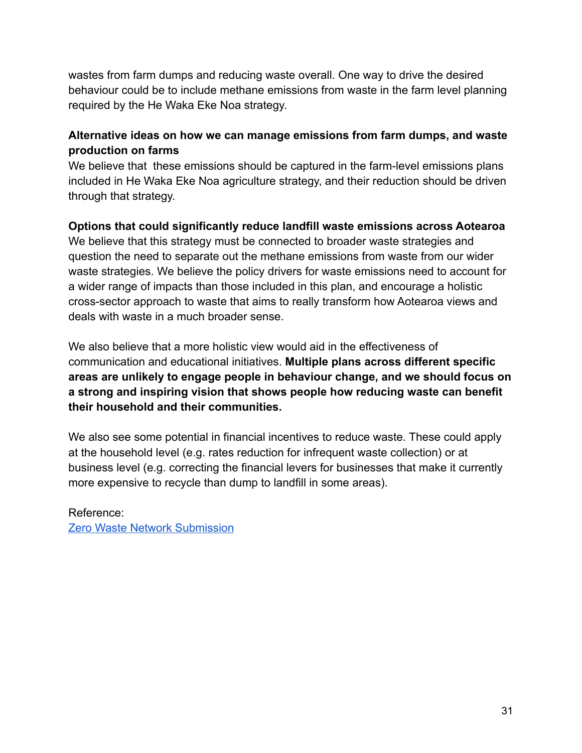wastes from farm dumps and reducing waste overall. One way to drive the desired behaviour could be to include methane emissions from waste in the farm level planning required by the He Waka Eke Noa strategy.

### **Alternative ideas on how we can manage emissions from farm dumps, and waste production on farms**

We believe that these emissions should be captured in the farm-level emissions plans included in He Waka Eke Noa agriculture strategy, and their reduction should be driven through that strategy.

# **Options that could significantly reduce landfill waste emissions across Aotearoa**

We believe that this strategy must be connected to broader waste strategies and question the need to separate out the methane emissions from waste from our wider waste strategies. We believe the policy drivers for waste emissions need to account for a wider range of impacts than those included in this plan, and encourage a holistic cross-sector approach to waste that aims to really transform how Aotearoa views and deals with waste in a much broader sense.

We also believe that a more holistic view would aid in the effectiveness of communication and educational initiatives. **Multiple plans across different specific areas are unlikely to engage people in behaviour change, and we should focus on a strong and inspiring vision that shows people how reducing waste can benefit their household and their communities.**

We also see some potential in financial incentives to reduce waste. These could apply at the household level (e.g. rates reduction for infrequent waste collection) or at business level (e.g. correcting the financial levers for businesses that make it currently more expensive to recycle than dump to landfill in some areas).

Reference: [Zero Waste Network Submission](https://docs.google.com/document/d/1WT3N7vaJo66AAd-1isPN64PzCon1cQj6VpU6RrvW06Q/edit#heading=h.73y58rglxo4u)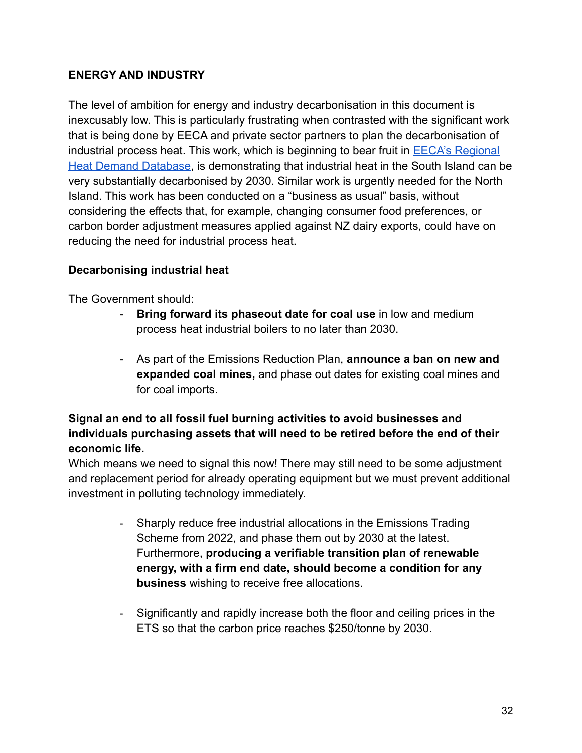### **ENERGY AND INDUSTRY**

The level of ambition for energy and industry decarbonisation in this document is inexcusably low. This is particularly frustrating when contrasted with the significant work that is being done by EECA and private sector partners to plan the decarbonisation of industrial process heat. This work, which is beginning to bear fruit in  $EECA's Regional$ [Heat Demand Database,](https://www.eeca.govt.nz/insights/regional-heat-demand-database/) is demonstrating that industrial heat in the South Island can be very substantially decarbonised by 2030. Similar work is urgently needed for the North Island. This work has been conducted on a "business as usual" basis, without considering the effects that, for example, changing consumer food preferences, or carbon border adjustment measures applied against NZ dairy exports, could have on reducing the need for industrial process heat.

#### **Decarbonising industrial heat**

The Government should:

- **Bring forward its phaseout date for coal use** in low and medium process heat industrial boilers to no later than 2030.
- As part of the Emissions Reduction Plan, **announce a ban on new and expanded coal mines,** and phase out dates for existing coal mines and for coal imports.

### **Signal an end to all fossil fuel burning activities to avoid businesses and individuals purchasing assets that will need to be retired before the end of their economic life.**

Which means we need to signal this now! There may still need to be some adjustment and replacement period for already operating equipment but we must prevent additional investment in polluting technology immediately.

- Sharply reduce free industrial allocations in the Emissions Trading Scheme from 2022, and phase them out by 2030 at the latest. Furthermore, **producing a verifiable transition plan of renewable energy, with a firm end date, should become a condition for any business** wishing to receive free allocations.
- Significantly and rapidly increase both the floor and ceiling prices in the ETS so that the carbon price reaches \$250/tonne by 2030.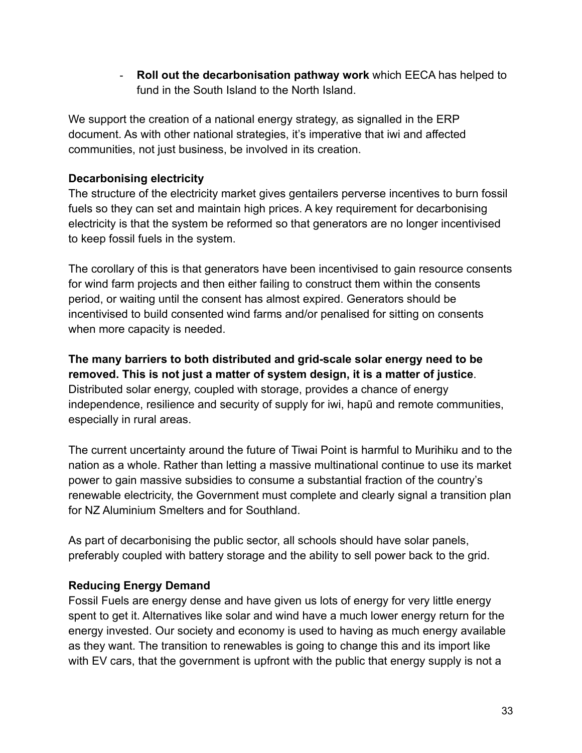- **Roll out the decarbonisation pathway work** which EECA has helped to fund in the South Island to the North Island.

We support the creation of a national energy strategy, as signalled in the ERP document. As with other national strategies, it's imperative that iwi and affected communities, not just business, be involved in its creation.

### **Decarbonising electricity**

The structure of the electricity market gives gentailers perverse incentives to burn fossil fuels so they can set and maintain high prices. A key requirement for decarbonising electricity is that the system be reformed so that generators are no longer incentivised to keep fossil fuels in the system.

The corollary of this is that generators have been incentivised to gain resource consents for wind farm projects and then either failing to construct them within the consents period, or waiting until the consent has almost expired. Generators should be incentivised to build consented wind farms and/or penalised for sitting on consents when more capacity is needed.

**The many barriers to both distributed and grid-scale solar energy need to be removed. This is not just a matter of system design, it is a matter of justice**. Distributed solar energy, coupled with storage, provides a chance of energy independence, resilience and security of supply for iwi, hapū and remote communities, especially in rural areas.

The current uncertainty around the future of Tiwai Point is harmful to Murihiku and to the nation as a whole. Rather than letting a massive multinational continue to use its market power to gain massive subsidies to consume a substantial fraction of the country's renewable electricity, the Government must complete and clearly signal a transition plan for NZ Aluminium Smelters and for Southland.

As part of decarbonising the public sector, all schools should have solar panels, preferably coupled with battery storage and the ability to sell power back to the grid.

### **Reducing Energy Demand**

Fossil Fuels are energy dense and have given us lots of energy for very little energy spent to get it. Alternatives like solar and wind have a much lower energy return for the energy invested. Our society and economy is used to having as much energy available as they want. The transition to renewables is going to change this and its import like with EV cars, that the government is upfront with the public that energy supply is not a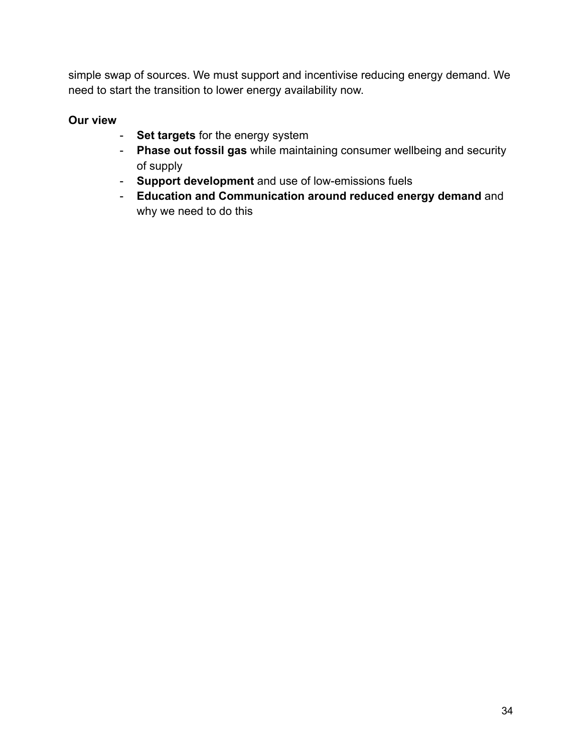simple swap of sources. We must support and incentivise reducing energy demand. We need to start the transition to lower energy availability now.

## **Our view**

- **Set targets** for the energy system
- **Phase out fossil gas** while maintaining consumer wellbeing and security of supply
- **Support development** and use of low-emissions fuels
- **Education and Communication around reduced energy demand** and why we need to do this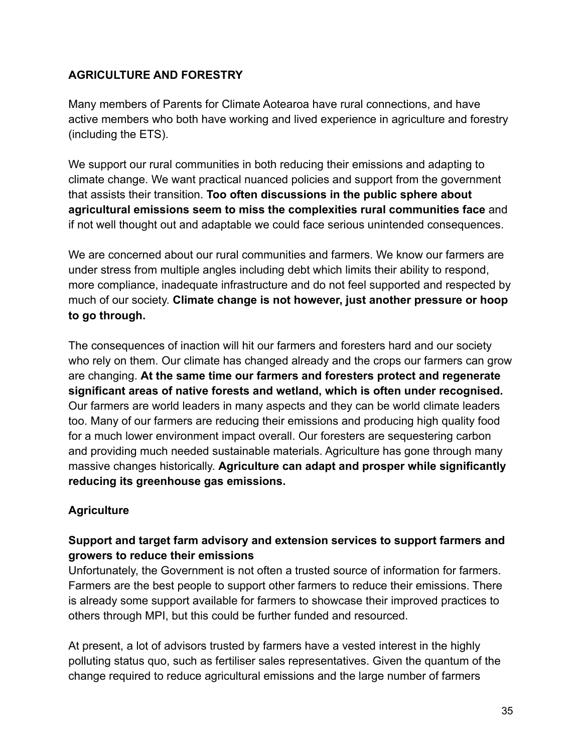### **AGRICULTURE AND FORESTRY**

Many members of Parents for Climate Aotearoa have rural connections, and have active members who both have working and lived experience in agriculture and forestry (including the ETS).

We support our rural communities in both reducing their emissions and adapting to climate change. We want practical nuanced policies and support from the government that assists their transition. **Too often discussions in the public sphere about agricultural emissions seem to miss the complexities rural communities face** and if not well thought out and adaptable we could face serious unintended consequences.

We are concerned about our rural communities and farmers. We know our farmers are under stress from multiple angles including debt which limits their ability to respond, more compliance, inadequate infrastructure and do not feel supported and respected by much of our society. **Climate change is not however, just another pressure or hoop to go through.**

The consequences of inaction will hit our farmers and foresters hard and our society who rely on them. Our climate has changed already and the crops our farmers can grow are changing. **At the same time our farmers and foresters protect and regenerate significant areas of native forests and wetland, which is often under recognised.** Our farmers are world leaders in many aspects and they can be world climate leaders too. Many of our farmers are reducing their emissions and producing high quality food for a much lower environment impact overall. Our foresters are sequestering carbon and providing much needed sustainable materials. Agriculture has gone through many massive changes historically. **Agriculture can adapt and prosper while significantly reducing its greenhouse gas emissions.**

#### **Agriculture**

### **Support and target farm advisory and extension services to support farmers and growers to reduce their emissions**

Unfortunately, the Government is not often a trusted source of information for farmers. Farmers are the best people to support other farmers to reduce their emissions. There is already some support available for farmers to showcase their improved practices to others through MPI, but this could be further funded and resourced.

At present, a lot of advisors trusted by farmers have a vested interest in the highly polluting status quo, such as fertiliser sales representatives. Given the quantum of the change required to reduce agricultural emissions and the large number of farmers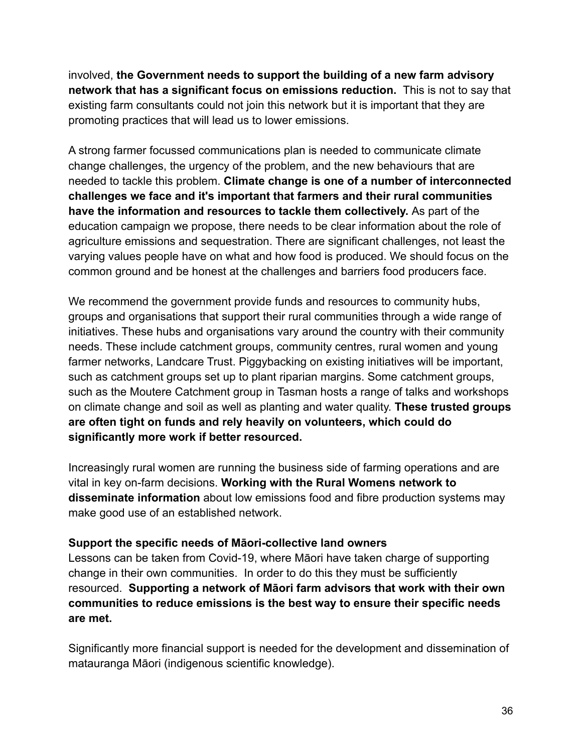involved, **the Government needs to support the building of a new farm advisory network that has a significant focus on emissions reduction.** This is not to say that existing farm consultants could not join this network but it is important that they are promoting practices that will lead us to lower emissions.

A strong farmer focussed communications plan is needed to communicate climate change challenges, the urgency of the problem, and the new behaviours that are needed to tackle this problem. **Climate change is one of a number of interconnected challenges we face and it's important that farmers and their rural communities have the information and resources to tackle them collectively.** As part of the education campaign we propose, there needs to be clear information about the role of agriculture emissions and sequestration. There are significant challenges, not least the varying values people have on what and how food is produced. We should focus on the common ground and be honest at the challenges and barriers food producers face.

We recommend the government provide funds and resources to community hubs, groups and organisations that support their rural communities through a wide range of initiatives. These hubs and organisations vary around the country with their community needs. These include catchment groups, community centres, rural women and young farmer networks, Landcare Trust. Piggybacking on existing initiatives will be important, such as catchment groups set up to plant riparian margins. Some catchment groups, such as the Moutere Catchment group in Tasman hosts a range of talks and workshops on climate change and soil as well as planting and water quality. **These trusted groups are often tight on funds and rely heavily on volunteers, which could do significantly more work if better resourced.**

Increasingly rural women are running the business side of farming operations and are vital in key on-farm decisions. **Working with the Rural Womens network to disseminate information** about low emissions food and fibre production systems may make good use of an established network.

#### **Support the specific needs of Māori-collective land owners**

Lessons can be taken from Covid-19, where Māori have taken charge of supporting change in their own communities. In order to do this they must be sufficiently resourced. **Supporting a network of Māori farm advisors that work with their own communities to reduce emissions is the best way to ensure their specific needs are met.**

Significantly more financial support is needed for the development and dissemination of matauranga Māori (indigenous scientific knowledge).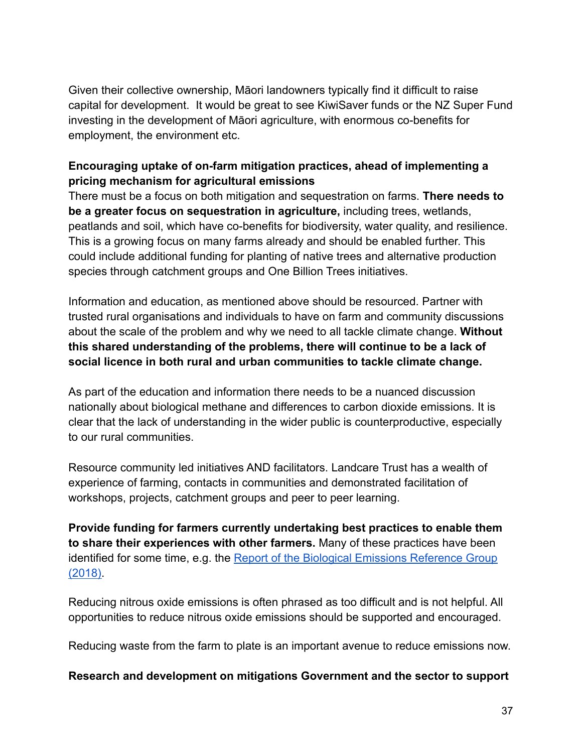Given their collective ownership, Māori landowners typically find it difficult to raise capital for development. It would be great to see KiwiSaver funds or the NZ Super Fund investing in the development of Māori agriculture, with enormous co-benefits for employment, the environment etc.

### **Encouraging uptake of on-farm mitigation practices, ahead of implementing a pricing mechanism for agricultural emissions**

There must be a focus on both mitigation and sequestration on farms. **There needs to be a greater focus on sequestration in agriculture,** including trees, wetlands, peatlands and soil, which have co-benefits for biodiversity, water quality, and resilience. This is a growing focus on many farms already and should be enabled further. This could include additional funding for planting of native trees and alternative production species through catchment groups and One Billion Trees initiatives.

Information and education, as mentioned above should be resourced. Partner with trusted rural organisations and individuals to have on farm and community discussions about the scale of the problem and why we need to all tackle climate change. **Without this shared understanding of the problems, there will continue to be a lack of social licence in both rural and urban communities to tackle climate change.**

As part of the education and information there needs to be a nuanced discussion nationally about biological methane and differences to carbon dioxide emissions. It is clear that the lack of understanding in the wider public is counterproductive, especially to our rural communities.

Resource community led initiatives AND facilitators. Landcare Trust has a wealth of experience of farming, contacts in communities and demonstrated facilitation of workshops, projects, catchment groups and peer to peer learning.

**Provide funding for farmers currently undertaking best practices to enable them to share their experiences with other farmers.** Many of these practices have been identified for some time, e.g. the Report of the Biological [Emissions Reference Group](https://www.mpi.govt.nz/dmsdocument/32125/direct) [\(2018\).](https://www.mpi.govt.nz/dmsdocument/32125/direct)

Reducing nitrous oxide emissions is often phrased as too difficult and is not helpful. All opportunities to reduce nitrous oxide emissions should be supported and encouraged.

Reducing waste from the farm to plate is an important avenue to reduce emissions now.

**Research and development on mitigations Government and the sector to support**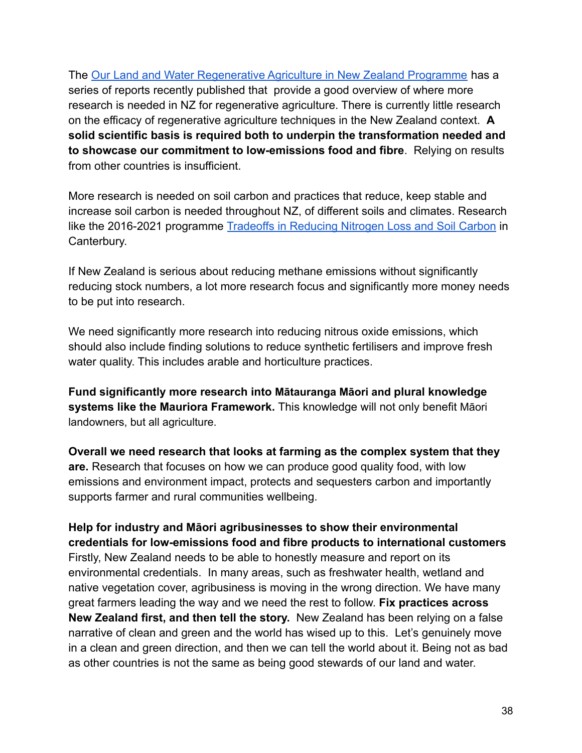The [Our Land and Water Regenerative Agriculture in New Zealand Programme](https://ourlandandwater.nz/incentives-for-change/regenerative-agriculture-regen-ag/) has a series of reports recently published that provide a good overview of where more research is needed in NZ for regenerative agriculture. There is currently little research on the efficacy of regenerative agriculture techniques in the New Zealand context. **A solid scientific basis is required both to underpin the transformation needed and to showcase our commitment to low-emissions food and fibre**. Relying on results from other countries is insufficient.

More research is needed on soil carbon and practices that reduce, keep stable and increase soil carbon is needed throughout NZ, of different soils and climates. Research like the 2016-2021 programme Tradeoffs in Reducing [Nitrogen Loss and Soil Carbon](https://www.landcareresearch.co.nz/discover-our-research/environment/climate-change-and-greenhouse-gases/reducing-nitrogen-losses-from-farms/) in Canterbury.

If New Zealand is serious about reducing methane emissions without significantly reducing stock numbers, a lot more research focus and significantly more money needs to be put into research.

We need significantly more research into reducing nitrous oxide emissions, which should also include finding solutions to reduce synthetic fertilisers and improve fresh water quality. This includes arable and horticulture practices.

**Fund significantly more research into Mātauranga Māori and plural knowledge systems like the Mauriora Framework.** This knowledge will not only benefit Māori landowners, but all agriculture.

**Overall we need research that looks at farming as the complex system that they are.** Research that focuses on how we can produce good quality food, with low emissions and environment impact, protects and sequesters carbon and importantly supports farmer and rural communities wellbeing.

**Help for industry and Māori agribusinesses to show their environmental credentials for low-emissions food and fibre products to international customers** Firstly, New Zealand needs to be able to honestly measure and report on its environmental credentials. In many areas, such as freshwater health, wetland and native vegetation cover, agribusiness is moving in the wrong direction. We have many great farmers leading the way and we need the rest to follow. **Fix practices across New Zealand first, and then tell the story.** New Zealand has been relying on a false narrative of clean and green and the world has wised up to this. Let's genuinely move in a clean and green direction, and then we can tell the world about it. Being not as bad as other countries is not the same as being good stewards of our land and water.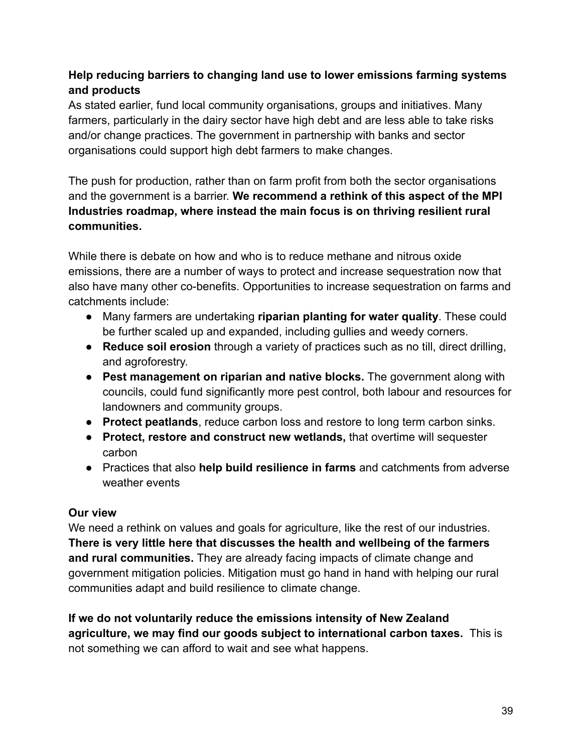# **Help reducing barriers to changing land use to lower emissions farming systems and products**

As stated earlier, fund local community organisations, groups and initiatives. Many farmers, particularly in the dairy sector have high debt and are less able to take risks and/or change practices. The government in partnership with banks and sector organisations could support high debt farmers to make changes.

The push for production, rather than on farm profit from both the sector organisations and the government is a barrier. **We recommend a rethink of this aspect of the MPI Industries roadmap, where instead the main focus is on thriving resilient rural communities.**

While there is debate on how and who is to reduce methane and nitrous oxide emissions, there are a number of ways to protect and increase sequestration now that also have many other co-benefits. Opportunities to increase sequestration on farms and catchments include:

- Many farmers are undertaking **riparian planting for water quality**. These could be further scaled up and expanded, including gullies and weedy corners.
- **Reduce soil erosion** through a variety of practices such as no till, direct drilling, and agroforestry.
- **Pest management on riparian and native blocks.** The government along with councils, could fund significantly more pest control, both labour and resources for landowners and community groups.
- **Protect peatlands**, reduce carbon loss and restore to long term carbon sinks.
- **Protect, restore and construct new wetlands,** that overtime will sequester carbon
- Practices that also **help build resilience in farms** and catchments from adverse weather events

### **Our view**

We need a rethink on values and goals for agriculture, like the rest of our industries. **There is very little here that discusses the health and wellbeing of the farmers and rural communities.** They are already facing impacts of climate change and government mitigation policies. Mitigation must go hand in hand with helping our rural communities adapt and build resilience to climate change.

**If we do not voluntarily reduce the emissions intensity of New Zealand agriculture, we may find our goods subject to international carbon taxes.** This is not something we can afford to wait and see what happens.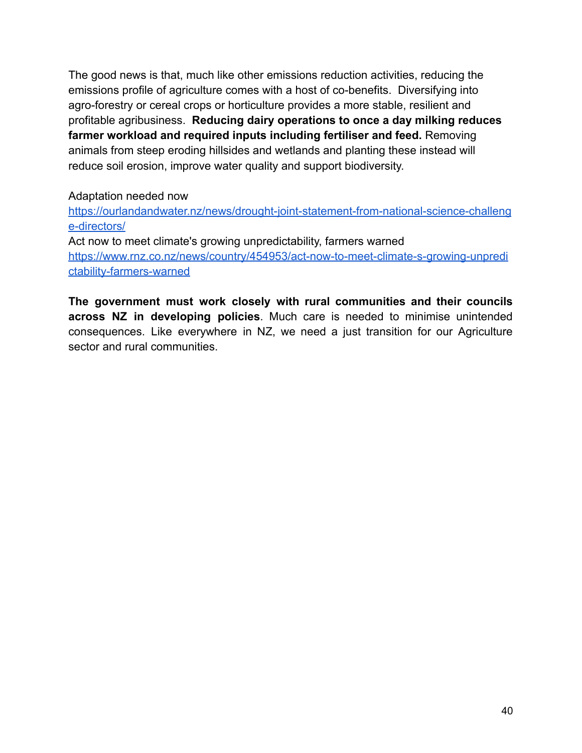The good news is that, much like other emissions reduction activities, reducing the emissions profile of agriculture comes with a host of co-benefits. Diversifying into agro-forestry or cereal crops or horticulture provides a more stable, resilient and profitable agribusiness. **Reducing dairy operations to once a day milking reduces farmer workload and required inputs including fertiliser and feed.** Removing animals from steep eroding hillsides and wetlands and planting these instead will reduce soil erosion, improve water quality and support biodiversity.

#### Adaptation needed now

[https://ourlandandwater.nz/news/drought-joint-statement-from-national-science-challeng](https://ourlandandwater.nz/news/drought-joint-statement-from-national-science-challenge-directors/) [e-directors/](https://ourlandandwater.nz/news/drought-joint-statement-from-national-science-challenge-directors/) Act now to meet climate's growing unpredictability, farmers warned [https://www.rnz.co.nz/news/country/454953/act-now-to-meet-climate-s-growing-unpredi](https://www.rnz.co.nz/news/country/454953/act-now-to-meet-climate-s-growing-unpredictability-farmers-warned)

[ctability-farmers-warned](https://www.rnz.co.nz/news/country/454953/act-now-to-meet-climate-s-growing-unpredictability-farmers-warned)

**The government must work closely with rural communities and their councils across NZ in developing policies**. Much care is needed to minimise unintended consequences. Like everywhere in NZ, we need a just transition for our Agriculture sector and rural communities.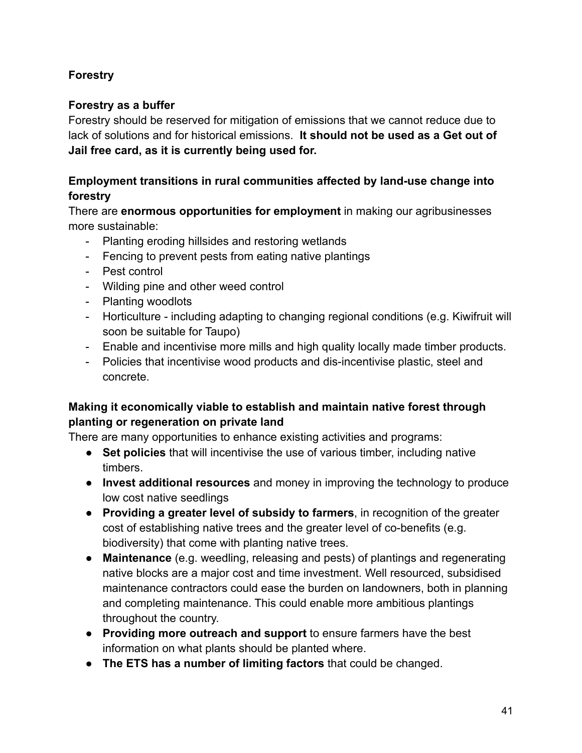## **Forestry**

### **Forestry as a buffer**

Forestry should be reserved for mitigation of emissions that we cannot reduce due to lack of solutions and for historical emissions. **It should not be used as a Get out of Jail free card, as it is currently being used for.**

### **Employment transitions in rural communities affected by land-use change into forestry**

There are **enormous opportunities for employment** in making our agribusinesses more sustainable:

- Planting eroding hillsides and restoring wetlands
- Fencing to prevent pests from eating native plantings
- Pest control
- Wilding pine and other weed control
- Planting woodlots
- Horticulture including adapting to changing regional conditions (e.g. Kiwifruit will soon be suitable for Taupo)
- Enable and incentivise more mills and high quality locally made timber products.
- Policies that incentivise wood products and dis-incentivise plastic, steel and concrete.

# **Making it economically viable to establish and maintain native forest through planting or regeneration on private land**

There are many opportunities to enhance existing activities and programs:

- **Set policies** that will incentivise the use of various timber, including native timbers.
- **Invest additional resources** and money in improving the technology to produce low cost native seedlings
- **Providing a greater level of subsidy to farmers**, in recognition of the greater cost of establishing native trees and the greater level of co-benefits (e.g. biodiversity) that come with planting native trees.
- **Maintenance** (e.g. weedling, releasing and pests) of plantings and regenerating native blocks are a major cost and time investment. Well resourced, subsidised maintenance contractors could ease the burden on landowners, both in planning and completing maintenance. This could enable more ambitious plantings throughout the country.
- **Providing more outreach and support** to ensure farmers have the best information on what plants should be planted where.
- **The ETS has a number of limiting factors** that could be changed.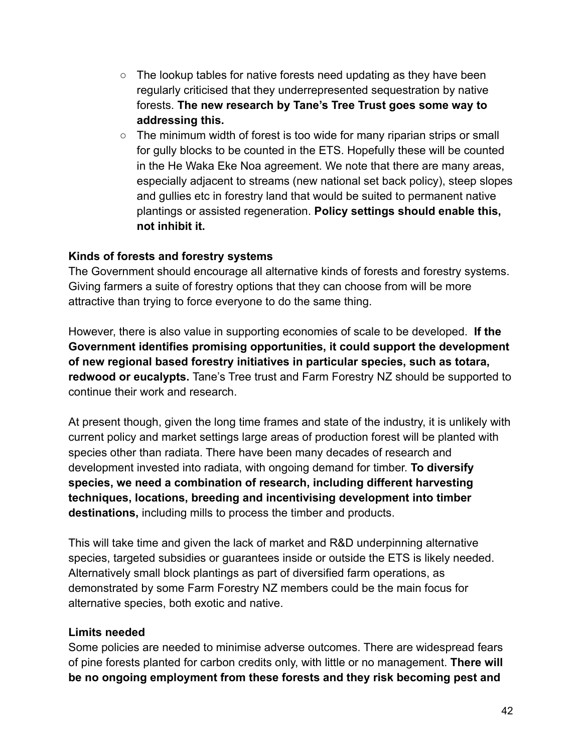- $\circ$  The lookup tables for native forests need updating as they have been regularly criticised that they underrepresented sequestration by native forests. **The new research by Tane's Tree Trust goes some way to addressing this.**
- The minimum width of forest is too wide for many riparian strips or small for gully blocks to be counted in the ETS. Hopefully these will be counted in the He Waka Eke Noa agreement. We note that there are many areas, especially adjacent to streams (new national set back policy), steep slopes and gullies etc in forestry land that would be suited to permanent native plantings or assisted regeneration. **Policy settings should enable this, not inhibit it.**

#### **Kinds of forests and forestry systems**

The Government should encourage all alternative kinds of forests and forestry systems. Giving farmers a suite of forestry options that they can choose from will be more attractive than trying to force everyone to do the same thing.

However, there is also value in supporting economies of scale to be developed. **If the Government identifies promising opportunities, it could support the development of new regional based forestry initiatives in particular species, such as totara, redwood or eucalypts.** Tane's Tree trust and Farm Forestry NZ should be supported to continue their work and research.

At present though, given the long time frames and state of the industry, it is unlikely with current policy and market settings large areas of production forest will be planted with species other than radiata. There have been many decades of research and development invested into radiata, with ongoing demand for timber. **To diversify species, we need a combination of research, including different harvesting techniques, locations, breeding and incentivising development into timber destinations,** including mills to process the timber and products.

This will take time and given the lack of market and R&D underpinning alternative species, targeted subsidies or guarantees inside or outside the ETS is likely needed. Alternatively small block plantings as part of diversified farm operations, as demonstrated by some Farm Forestry NZ members could be the main focus for alternative species, both exotic and native.

#### **Limits needed**

Some policies are needed to minimise adverse outcomes. There are widespread fears of pine forests planted for carbon credits only, with little or no management. **There will be no ongoing employment from these forests and they risk becoming pest and**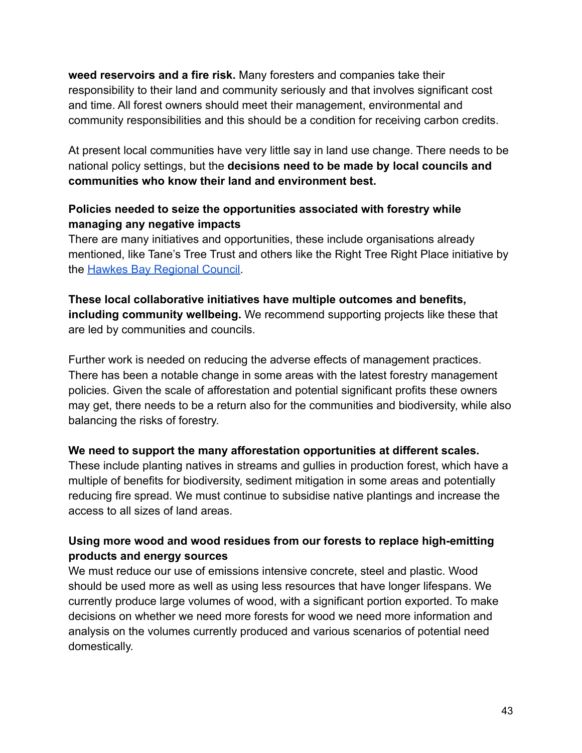**weed reservoirs and a fire risk.** Many foresters and companies take their responsibility to their land and community seriously and that involves significant cost and time. All forest owners should meet their management, environmental and community responsibilities and this should be a condition for receiving carbon credits.

At present local communities have very little say in land use change. There needs to be national policy settings, but the **decisions need to be made by local councils and communities who know their land and environment best.**

### **Policies needed to seize the opportunities associated with forestry while managing any negative impacts**

There are many initiatives and opportunities, these include organisations already mentioned, like Tane's Tree Trust and others like the Right Tree Right Place initiative by the [Hawkes Bay Regional Council.](https://www.hbrc.govt.nz/environment/farmers-hub/right-tree-right-place/)

**These local collaborative initiatives have multiple outcomes and benefits, including community wellbeing.** We recommend supporting projects like these that are led by communities and councils.

Further work is needed on reducing the adverse effects of management practices. There has been a notable change in some areas with the latest forestry management policies. Given the scale of afforestation and potential significant profits these owners may get, there needs to be a return also for the communities and biodiversity, while also balancing the risks of forestry.

### **We need to support the many afforestation opportunities at different scales.**

These include planting natives in streams and gullies in production forest, which have a multiple of benefits for biodiversity, sediment mitigation in some areas and potentially reducing fire spread. We must continue to subsidise native plantings and increase the access to all sizes of land areas.

### **Using more wood and wood residues from our forests to replace high-emitting products and energy sources**

We must reduce our use of emissions intensive concrete, steel and plastic. Wood should be used more as well as using less resources that have longer lifespans. We currently produce large volumes of wood, with a significant portion exported. To make decisions on whether we need more forests for wood we need more information and analysis on the volumes currently produced and various scenarios of potential need domestically.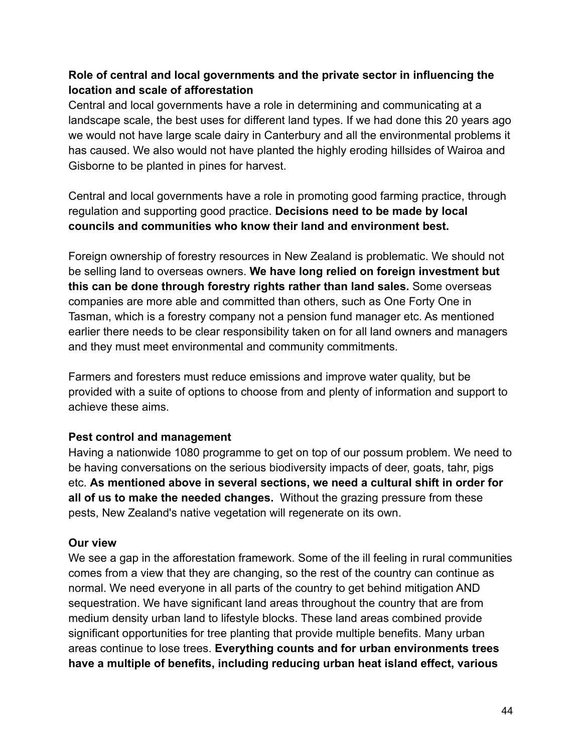### **Role of central and local governments and the private sector in influencing the location and scale of afforestation**

Central and local governments have a role in determining and communicating at a landscape scale, the best uses for different land types. If we had done this 20 years ago we would not have large scale dairy in Canterbury and all the environmental problems it has caused. We also would not have planted the highly eroding hillsides of Wairoa and Gisborne to be planted in pines for harvest.

Central and local governments have a role in promoting good farming practice, through regulation and supporting good practice. **Decisions need to be made by local councils and communities who know their land and environment best.**

Foreign ownership of forestry resources in New Zealand is problematic. We should not be selling land to overseas owners. **We have long relied on foreign investment but this can be done through forestry rights rather than land sales.** Some overseas companies are more able and committed than others, such as One Forty One in Tasman, which is a forestry company not a pension fund manager etc. As mentioned earlier there needs to be clear responsibility taken on for all land owners and managers and they must meet environmental and community commitments.

Farmers and foresters must reduce emissions and improve water quality, but be provided with a suite of options to choose from and plenty of information and support to achieve these aims.

#### **Pest control and management**

Having a nationwide 1080 programme to get on top of our possum problem. We need to be having conversations on the serious biodiversity impacts of deer, goats, tahr, pigs etc. **As mentioned above in several sections, we need a cultural shift in order for all of us to make the needed changes.** Without the grazing pressure from these pests, New Zealand's native vegetation will regenerate on its own.

#### **Our view**

We see a gap in the afforestation framework. Some of the ill feeling in rural communities comes from a view that they are changing, so the rest of the country can continue as normal. We need everyone in all parts of the country to get behind mitigation AND sequestration. We have significant land areas throughout the country that are from medium density urban land to lifestyle blocks. These land areas combined provide significant opportunities for tree planting that provide multiple benefits. Many urban areas continue to lose trees. **Everything counts and for urban environments trees have a multiple of benefits, including reducing urban heat island effect, various**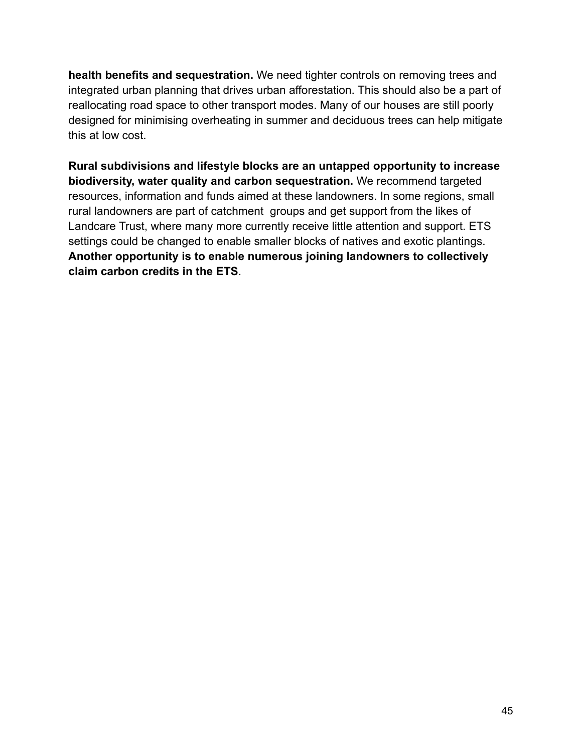**health benefits and sequestration.** We need tighter controls on removing trees and integrated urban planning that drives urban afforestation. This should also be a part of reallocating road space to other transport modes. Many of our houses are still poorly designed for minimising overheating in summer and deciduous trees can help mitigate this at low cost.

**Rural subdivisions and lifestyle blocks are an untapped opportunity to increase biodiversity, water quality and carbon sequestration.** We recommend targeted resources, information and funds aimed at these landowners. In some regions, small rural landowners are part of catchment groups and get support from the likes of Landcare Trust, where many more currently receive little attention and support. ETS settings could be changed to enable smaller blocks of natives and exotic plantings. **Another opportunity is to enable numerous joining landowners to collectively claim carbon credits in the ETS**.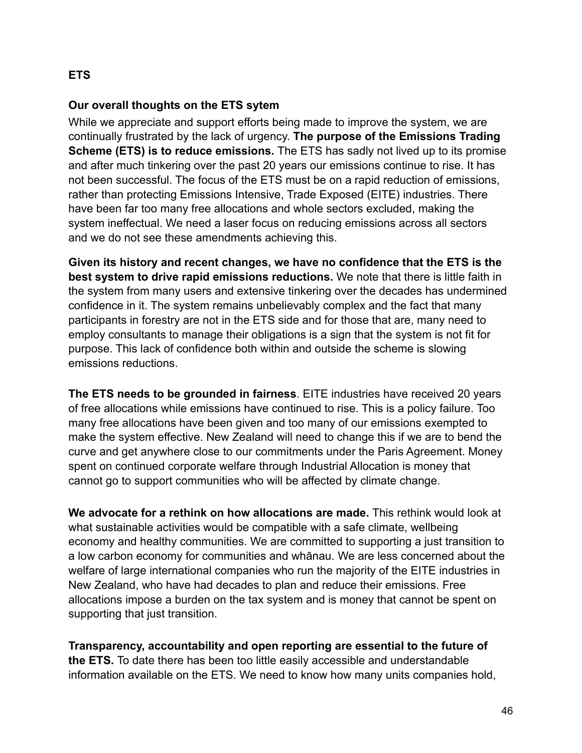## **ETS**

#### **Our overall thoughts on the ETS sytem**

While we appreciate and support efforts being made to improve the system, we are continually frustrated by the lack of urgency. **The purpose of the Emissions Trading Scheme (ETS) is to reduce emissions.** The ETS has sadly not lived up to its promise and after much tinkering over the past 20 years our emissions continue to rise. It has not been successful. The focus of the ETS must be on a rapid reduction of emissions, rather than protecting Emissions Intensive, Trade Exposed (EITE) industries. There have been far too many free allocations and whole sectors excluded, making the system ineffectual. We need a laser focus on reducing emissions across all sectors and we do not see these amendments achieving this.

**Given its history and recent changes, we have no confidence that the ETS is the best system to drive rapid emissions reductions.** We note that there is little faith in the system from many users and extensive tinkering over the decades has undermined confidence in it. The system remains unbelievably complex and the fact that many participants in forestry are not in the ETS side and for those that are, many need to employ consultants to manage their obligations is a sign that the system is not fit for purpose. This lack of confidence both within and outside the scheme is slowing emissions reductions.

**The ETS needs to be grounded in fairness**. EITE industries have received 20 years of free allocations while emissions have continued to rise. This is a policy failure. Too many free allocations have been given and too many of our emissions exempted to make the system effective. New Zealand will need to change this if we are to bend the curve and get anywhere close to our commitments under the Paris Agreement. Money spent on continued corporate welfare through Industrial Allocation is money that cannot go to support communities who will be affected by climate change.

**We advocate for a rethink on how allocations are made.** This rethink would look at what sustainable activities would be compatible with a safe climate, wellbeing economy and healthy communities. We are committed to supporting a just transition to a low carbon economy for communities and whānau. We are less concerned about the welfare of large international companies who run the majority of the EITE industries in New Zealand, who have had decades to plan and reduce their emissions. Free allocations impose a burden on the tax system and is money that cannot be spent on supporting that just transition.

**Transparency, accountability and open reporting are essential to the future of the ETS.** To date there has been too little easily accessible and understandable information available on the ETS. We need to know how many units companies hold,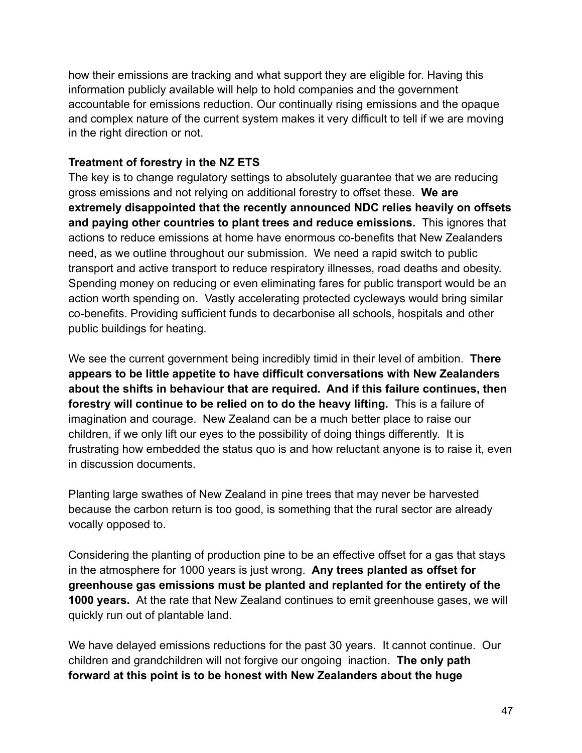how their emissions are tracking and what support they are eligible for. Having this information publicly available will help to hold companies and the government accountable for emissions reduction. Our continually rising emissions and the opaque and complex nature of the current system makes it very difficult to tell if we are moving in the right direction or not.

### **Treatment of forestry in the NZ ETS**

The key is to change regulatory settings to absolutely guarantee that we are reducing gross emissions and not relying on additional forestry to offset these. **We are extremely disappointed that the recently announced NDC relies heavily on offsets and paying other countries to plant trees and reduce emissions.** This ignores that actions to reduce emissions at home have enormous co-benefits that New Zealanders need, as we outline throughout our submission. We need a rapid switch to public transport and active transport to reduce respiratory illnesses, road deaths and obesity. Spending money on reducing or even eliminating fares for public transport would be an action worth spending on. Vastly accelerating protected cycleways would bring similar co-benefits. Providing sufficient funds to decarbonise all schools, hospitals and other public buildings for heating.

We see the current government being incredibly timid in their level of ambition. **There appears to be little appetite to have difficult conversations with New Zealanders about the shifts in behaviour that are required. And if this failure continues, then forestry will continue to be relied on to do the heavy lifting.** This is a failure of imagination and courage. New Zealand can be a much better place to raise our children, if we only lift our eyes to the possibility of doing things differently. It is frustrating how embedded the status quo is and how reluctant anyone is to raise it, even in discussion documents.

Planting large swathes of New Zealand in pine trees that may never be harvested because the carbon return is too good, is something that the rural sector are already vocally opposed to.

Considering the planting of production pine to be an effective offset for a gas that stays in the atmosphere for 1000 years is just wrong. **Any trees planted as offset for greenhouse gas emissions must be planted and replanted for the entirety of the 1000 years.** At the rate that New Zealand continues to emit greenhouse gases, we will quickly run out of plantable land.

We have delayed emissions reductions for the past 30 years. It cannot continue. Our children and grandchildren will not forgive our ongoing inaction. **The only path forward at this point is to be honest with New Zealanders about the huge**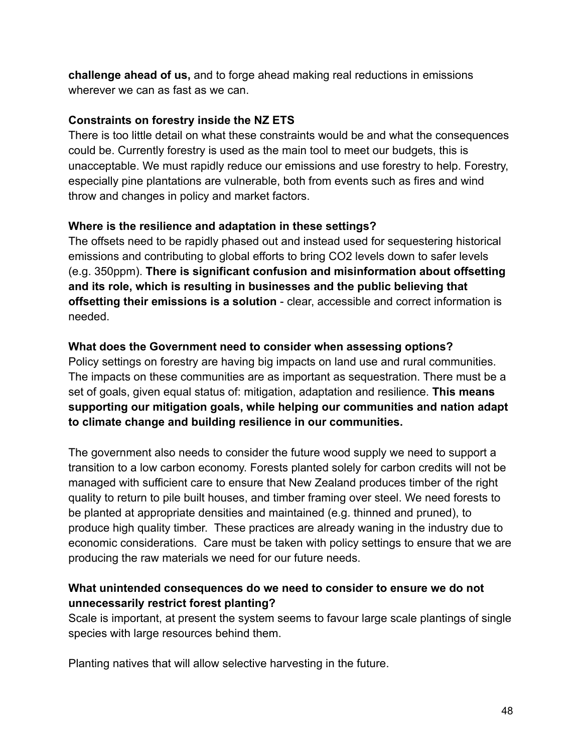**challenge ahead of us,** and to forge ahead making real reductions in emissions wherever we can as fast as we can.

### **Constraints on forestry inside the NZ ETS**

There is too little detail on what these constraints would be and what the consequences could be. Currently forestry is used as the main tool to meet our budgets, this is unacceptable. We must rapidly reduce our emissions and use forestry to help. Forestry, especially pine plantations are vulnerable, both from events such as fires and wind throw and changes in policy and market factors.

### **Where is the resilience and adaptation in these settings?**

The offsets need to be rapidly phased out and instead used for sequestering historical emissions and contributing to global efforts to bring CO2 levels down to safer levels (e.g. 350ppm). **There is significant confusion and misinformation about offsetting and its role, which is resulting in businesses and the public believing that offsetting their emissions is a solution** - clear, accessible and correct information is needed.

### **What does the Government need to consider when assessing options?**

Policy settings on forestry are having big impacts on land use and rural communities. The impacts on these communities are as important as sequestration. There must be a set of goals, given equal status of: mitigation, adaptation and resilience. **This means supporting our mitigation goals, while helping our communities and nation adapt to climate change and building resilience in our communities.**

The government also needs to consider the future wood supply we need to support a transition to a low carbon economy. Forests planted solely for carbon credits will not be managed with sufficient care to ensure that New Zealand produces timber of the right quality to return to pile built houses, and timber framing over steel. We need forests to be planted at appropriate densities and maintained (e.g. thinned and pruned), to produce high quality timber. These practices are already waning in the industry due to economic considerations. Care must be taken with policy settings to ensure that we are producing the raw materials we need for our future needs.

# **What unintended consequences do we need to consider to ensure we do not unnecessarily restrict forest planting?**

Scale is important, at present the system seems to favour large scale plantings of single species with large resources behind them.

Planting natives that will allow selective harvesting in the future.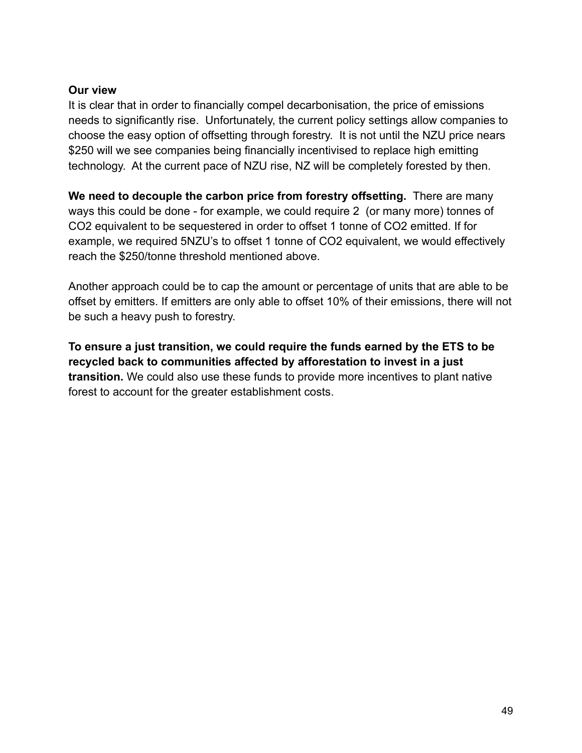#### **Our view**

It is clear that in order to financially compel decarbonisation, the price of emissions needs to significantly rise. Unfortunately, the current policy settings allow companies to choose the easy option of offsetting through forestry. It is not until the NZU price nears \$250 will we see companies being financially incentivised to replace high emitting technology. At the current pace of NZU rise, NZ will be completely forested by then.

**We need to decouple the carbon price from forestry offsetting.** There are many ways this could be done - for example, we could require 2 (or many more) tonnes of CO2 equivalent to be sequestered in order to offset 1 tonne of CO2 emitted. If for example, we required 5NZU's to offset 1 tonne of CO2 equivalent, we would effectively reach the \$250/tonne threshold mentioned above.

Another approach could be to cap the amount or percentage of units that are able to be offset by emitters. If emitters are only able to offset 10% of their emissions, there will not be such a heavy push to forestry.

**To ensure a just transition, we could require the funds earned by the ETS to be recycled back to communities affected by afforestation to invest in a just transition.** We could also use these funds to provide more incentives to plant native forest to account for the greater establishment costs.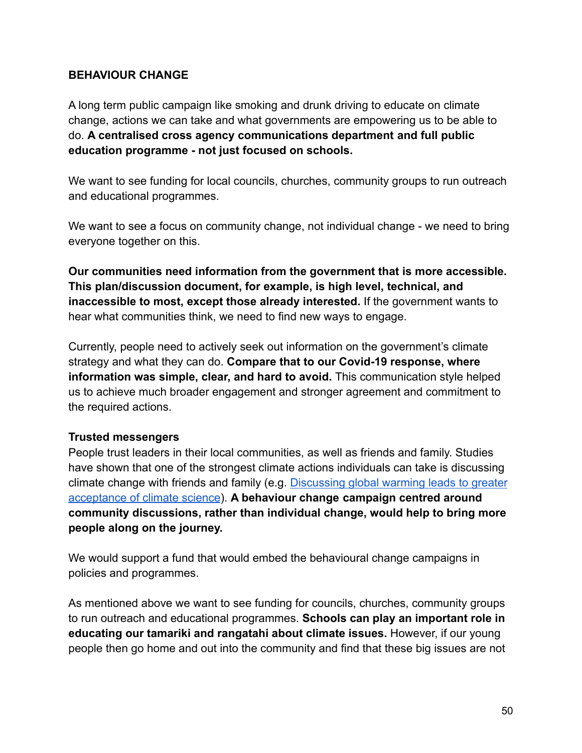#### **BEHAVIOUR CHANGE**

A long term public campaign like smoking and drunk driving to educate on climate change, actions we can take and what governments are empowering us to be able to do. **A centralised cross agency communications department and full public education programme - not just focused on schools.**

We want to see funding for local councils, churches, community groups to run outreach and educational programmes.

We want to see a focus on community change, not individual change - we need to bring everyone together on this.

**Our communities need information from the government that is more accessible. This plan/discussion document, for example, is high level, technical, and inaccessible to most, except those already interested.** If the government wants to hear what communities think, we need to find new ways to engage.

Currently, people need to actively seek out information on the government's climate strategy and what they can do. **Compare that to our Covid-19 response, where information was simple, clear, and hard to avoid.** This communication style helped us to achieve much broader engagement and stronger agreement and commitment to the required actions.

#### **Trusted messengers**

People trust leaders in their local communities, as well as friends and family. Studies have shown that one of the strongest climate actions individuals can take is discussing climate change with friends and family (e.g. Discussing [global warming leads to greater](https://www.pnas.org/content/116/30/14804) [acceptance of climate science](https://www.pnas.org/content/116/30/14804)). **A behaviour change campaign centred around community discussions, rather than individual change, would help to bring more people along on the journey.**

We would support a fund that would embed the behavioural change campaigns in policies and programmes.

As mentioned above we want to see funding for councils, churches, community groups to run outreach and educational programmes. **Schools can play an important role in educating our tamariki and rangatahi about climate issues.** However, if our young people then go home and out into the community and find that these big issues are not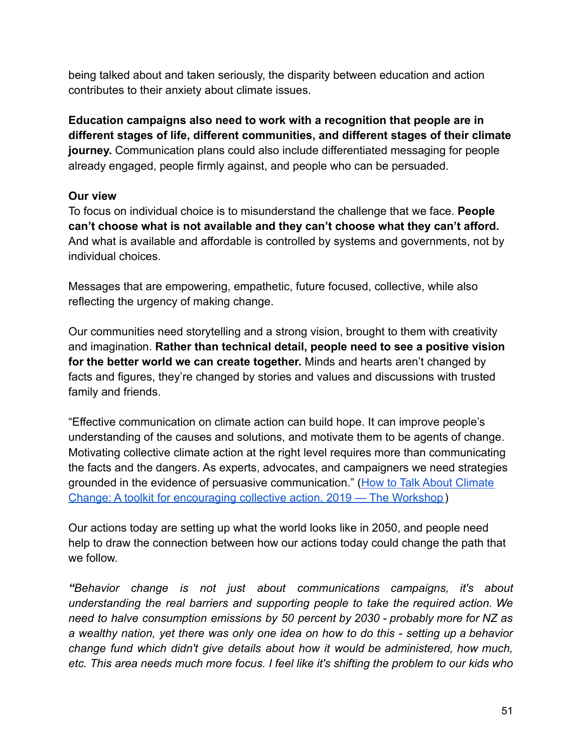being talked about and taken seriously, the disparity between education and action contributes to their anxiety about climate issues.

**Education campaigns also need to work with a recognition that people are in different stages of life, different communities, and different stages of their climate journey.** Communication plans could also include differentiated messaging for people already engaged, people firmly against, and people who can be persuaded.

### **Our view**

To focus on individual choice is to misunderstand the challenge that we face. **People can't choose what is not available and they can't choose what they can't afford.** And what is available and affordable is controlled by systems and governments, not by individual choices.

Messages that are empowering, empathetic, future focused, collective, while also reflecting the urgency of making change.

Our communities need storytelling and a strong vision, brought to them with creativity and imagination. **Rather than technical detail, people need to see a positive vision for the better world we can create together.** Minds and hearts aren't changed by facts and figures, they're changed by stories and values and discussions with trusted family and friends.

"Effective communication on climate action can build hope. It can improve people's understanding of the causes and solutions, and motivate them to be agents of change. Motivating collective climate action at the right level requires more than communicating the facts and the dangers. As experts, advocates, and campaigners we need strategies grounded in the evidence of persuasive communication." [\(How to Talk About Climate](https://www.theworkshop.org.nz/publications/how-to-talk-about-climate-change-a-toolkit-for-encouraging-collective-action-2019) [Change: A toolkit for encouraging collective action, 2019 — The Workshop](https://www.theworkshop.org.nz/publications/how-to-talk-about-climate-change-a-toolkit-for-encouraging-collective-action-2019))

Our actions today are setting up what the world looks like in 2050, and people need help to draw the connection between how our actions today could change the path that we follow.

*"Behavior change is not just about communications campaigns, it's about understanding the real barriers and supporting people to take the required action. We need to halve consumption emissions by 50 percent by 2030 - probably more for NZ as a wealthy nation, yet there was only one idea on how to do this - setting up a behavior change fund which didn't give details about how it would be administered, how much, etc. This area needs much more focus. I feel like it's shifting the problem to our kids who*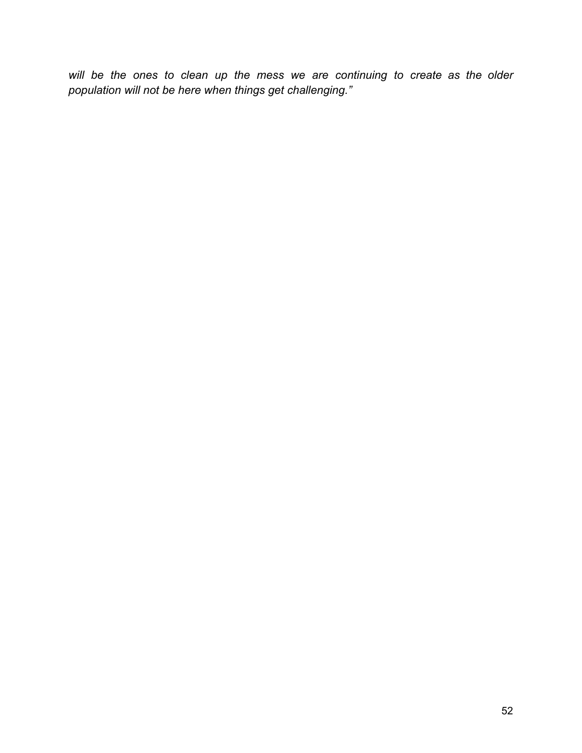*will be the ones to clean up the mess we are continuing to create as the older population will not be here when things get challenging."*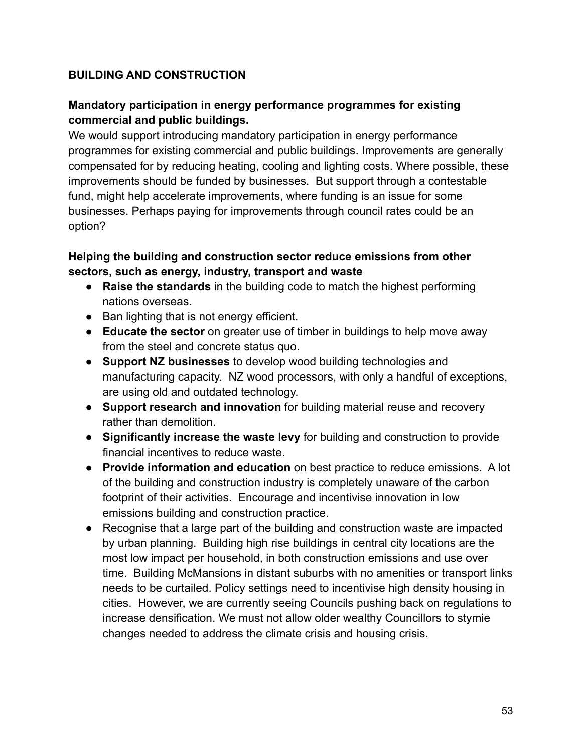## **BUILDING AND CONSTRUCTION**

### **Mandatory participation in energy performance programmes for existing commercial and public buildings.**

We would support introducing mandatory participation in energy performance programmes for existing commercial and public buildings. Improvements are generally compensated for by reducing heating, cooling and lighting costs. Where possible, these improvements should be funded by businesses. But support through a contestable fund, might help accelerate improvements, where funding is an issue for some businesses. Perhaps paying for improvements through council rates could be an option?

### **Helping the building and construction sector reduce emissions from other sectors, such as energy, industry, transport and waste**

- **Raise the standards** in the building code to match the highest performing nations overseas.
- Ban lighting that is not energy efficient.
- **Educate the sector** on greater use of timber in buildings to help move away from the steel and concrete status quo.
- **Support NZ businesses** to develop wood building technologies and manufacturing capacity. NZ wood processors, with only a handful of exceptions, are using old and outdated technology.
- **Support research and innovation** for building material reuse and recovery rather than demolition.
- **Significantly increase the waste levy** for building and construction to provide financial incentives to reduce waste.
- **Provide information and education** on best practice to reduce emissions. A lot of the building and construction industry is completely unaware of the carbon footprint of their activities. Encourage and incentivise innovation in low emissions building and construction practice.
- Recognise that a large part of the building and construction waste are impacted by urban planning. Building high rise buildings in central city locations are the most low impact per household, in both construction emissions and use over time. Building McMansions in distant suburbs with no amenities or transport links needs to be curtailed. Policy settings need to incentivise high density housing in cities. However, we are currently seeing Councils pushing back on regulations to increase densification. We must not allow older wealthy Councillors to stymie changes needed to address the climate crisis and housing crisis.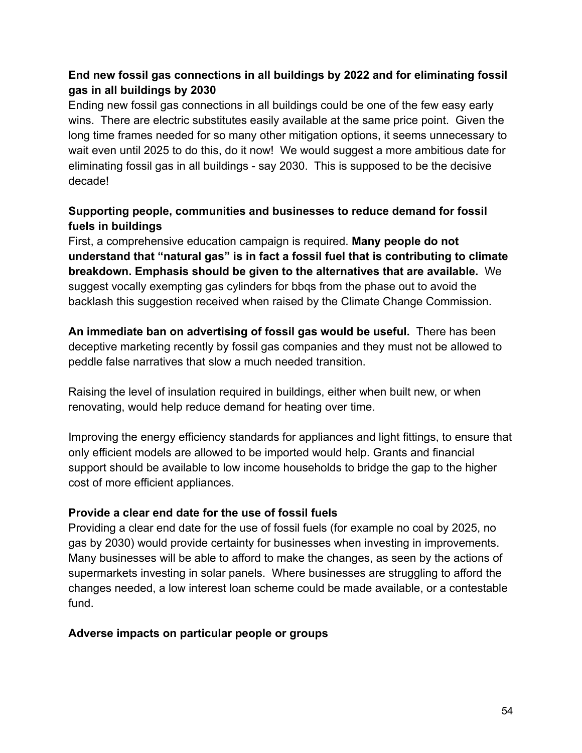## **End new fossil gas connections in all buildings by 2022 and for eliminating fossil gas in all buildings by 2030**

Ending new fossil gas connections in all buildings could be one of the few easy early wins. There are electric substitutes easily available at the same price point. Given the long time frames needed for so many other mitigation options, it seems unnecessary to wait even until 2025 to do this, do it now! We would suggest a more ambitious date for eliminating fossil gas in all buildings - say 2030. This is supposed to be the decisive decade!

# **Supporting people, communities and businesses to reduce demand for fossil fuels in buildings**

First, a comprehensive education campaign is required. **Many people do not understand that "natural gas" is in fact a fossil fuel that is contributing to climate breakdown. Emphasis should be given to the alternatives that are available.** We suggest vocally exempting gas cylinders for bbqs from the phase out to avoid the backlash this suggestion received when raised by the Climate Change Commission.

**An immediate ban on advertising of fossil gas would be useful.** There has been deceptive marketing recently by fossil gas companies and they must not be allowed to peddle false narratives that slow a much needed transition.

Raising the level of insulation required in buildings, either when built new, or when renovating, would help reduce demand for heating over time.

Improving the energy efficiency standards for appliances and light fittings, to ensure that only efficient models are allowed to be imported would help. Grants and financial support should be available to low income households to bridge the gap to the higher cost of more efficient appliances.

#### **Provide a clear end date for the use of fossil fuels**

Providing a clear end date for the use of fossil fuels (for example no coal by 2025, no gas by 2030) would provide certainty for businesses when investing in improvements. Many businesses will be able to afford to make the changes, as seen by the actions of supermarkets investing in solar panels. Where businesses are struggling to afford the changes needed, a low interest loan scheme could be made available, or a contestable fund.

#### **Adverse impacts on particular people or groups**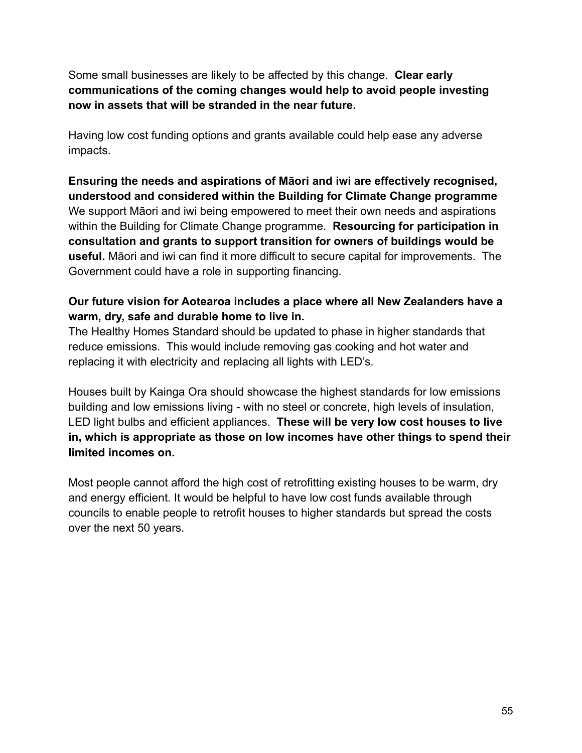Some small businesses are likely to be affected by this change. **Clear early communications of the coming changes would help to avoid people investing now in assets that will be stranded in the near future.**

Having low cost funding options and grants available could help ease any adverse impacts.

**Ensuring the needs and aspirations of Māori and iwi are effectively recognised, understood and considered within the Building for Climate Change programme** We support Māori and iwi being empowered to meet their own needs and aspirations within the Building for Climate Change programme. **Resourcing for participation in consultation and grants to support transition for owners of buildings would be useful.** Māori and iwi can find it more difficult to secure capital for improvements. The Government could have a role in supporting financing.

### **Our future vision for Aotearoa includes a place where all New Zealanders have a warm, dry, safe and durable home to live in.**

The Healthy Homes Standard should be updated to phase in higher standards that reduce emissions. This would include removing gas cooking and hot water and replacing it with electricity and replacing all lights with LED's.

Houses built by Kainga Ora should showcase the highest standards for low emissions building and low emissions living - with no steel or concrete, high levels of insulation, LED light bulbs and efficient appliances. **These will be very low cost houses to live in, which is appropriate as those on low incomes have other things to spend their limited incomes on.**

Most people cannot afford the high cost of retrofitting existing houses to be warm, dry and energy efficient. It would be helpful to have low cost funds available through councils to enable people to retrofit houses to higher standards but spread the costs over the next 50 years.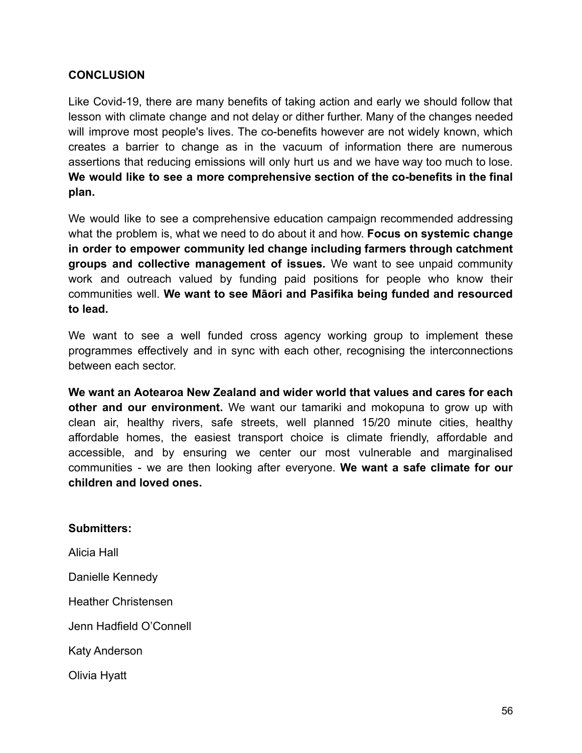#### **CONCLUSION**

Like Covid-19, there are many benefits of taking action and early we should follow that lesson with climate change and not delay or dither further. Many of the changes needed will improve most people's lives. The co-benefits however are not widely known, which creates a barrier to change as in the vacuum of information there are numerous assertions that reducing emissions will only hurt us and we have way too much to lose. **We would like to see a more comprehensive section of the co-benefits in the final plan.**

We would like to see a comprehensive education campaign recommended addressing what the problem is, what we need to do about it and how. **Focus on systemic change in order to empower community led change including farmers through catchment groups and collective management of issues.** We want to see unpaid community work and outreach valued by funding paid positions for people who know their communities well. **We want to see Māori and Pasifika being funded and resourced to lead.**

We want to see a well funded cross agency working group to implement these programmes effectively and in sync with each other, recognising the interconnections between each sector.

**We want an Aotearoa New Zealand and wider world that values and cares for each other and our environment.** We want our tamariki and mokopuna to grow up with clean air, healthy rivers, safe streets, well planned 15/20 minute cities, healthy affordable homes, the easiest transport choice is climate friendly, affordable and accessible, and by ensuring we center our most vulnerable and marginalised communities - we are then looking after everyone. **We want a safe climate for our children and loved ones.**

#### **Submitters:**

Alicia Hall

Danielle Kennedy

Heather Christensen

Jenn Hadfield O'Connell

Katy Anderson

Olivia Hyatt